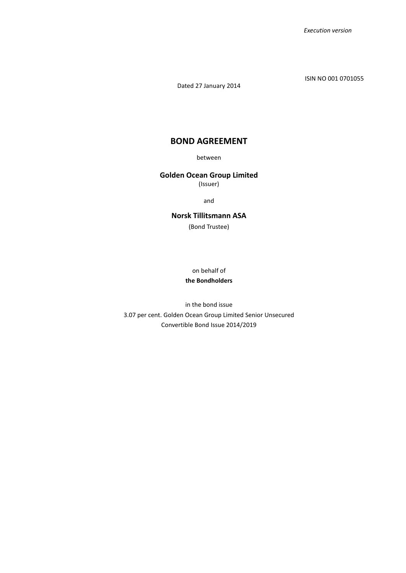ISIN NO 001 0701055

Dated 27 January 2014

# **BOND AGREEMENT**

between

# **Golden Ocean Group Limited**

(Issuer)

and

# **Norsk Tillitsmann ASA**

(Bond Trustee)

on behalf of

# **the Bondholders**

in the bond issue 3.07 per cent. Golden Ocean Group Limited Senior Unsecured Convertible Bond Issue 2014/2019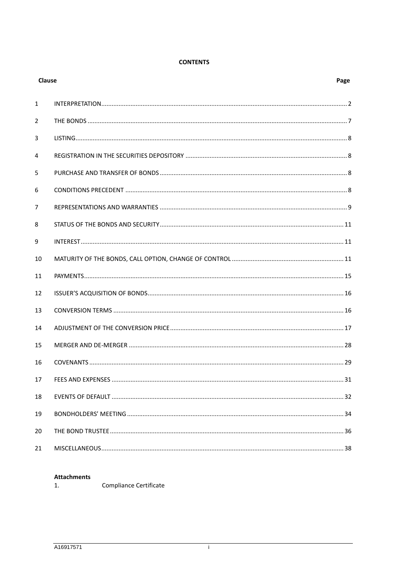# **CONTENTS**

| Clause         |  |      |  |  |
|----------------|--|------|--|--|
| $\mathbf{1}$   |  |      |  |  |
| 2              |  |      |  |  |
| 3              |  |      |  |  |
| 4              |  |      |  |  |
| 5              |  |      |  |  |
| 6              |  |      |  |  |
| $\overline{7}$ |  |      |  |  |
| 8              |  |      |  |  |
| 9              |  |      |  |  |
| 10             |  |      |  |  |
| 11             |  |      |  |  |
| 12             |  |      |  |  |
| 13             |  |      |  |  |
| 14             |  |      |  |  |
| 15             |  |      |  |  |
| 16             |  |      |  |  |
| 17             |  | . 31 |  |  |
| 18             |  |      |  |  |
| 19             |  |      |  |  |
| 20             |  |      |  |  |
| 21             |  |      |  |  |

# **Attachments**

Compliance Certificate  $1.$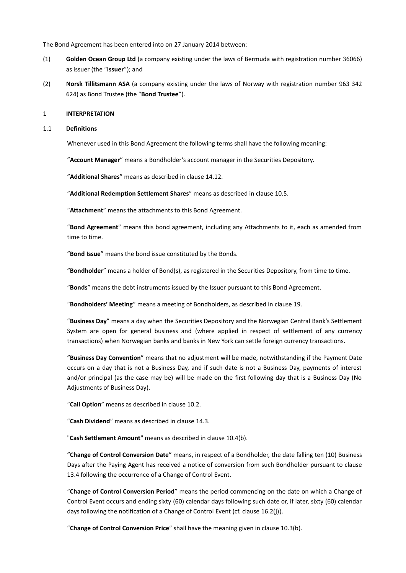The Bond Agreement has been entered into on 27 January 2014 between:

- (1) **Golden Ocean Group Ltd** (a company existing under the laws of Bermuda with registration number 36066) as issuer (the "**Issuer**"); and
- (2) **Norsk Tillitsmann ASA** (a company existing under the laws of Norway with registration number 963 342 624) as Bond Trustee (the "**Bond Trustee**").

### 1 **INTERPRETATION**

### 1.1 **Definitions**

Whenever used in this Bond Agreement the following terms shall have the following meaning:

"**Account Manager**" means a Bondholder's account manager in the Securities Depository.

"**Additional Shares**" means as described in clause [14.12.](#page-24-0)

"**Additional Redemption Settlement Shares**" means as described in clause [10.5.](#page-14-0)

"**Attachment**" means the attachments to this Bond Agreement.

"**Bond Agreement**" means this bond agreement, including any Attachments to it, each as amended from time to time.

"**Bond Issue**" means the bond issue constituted by the Bonds.

"**Bondholder**" means a holder of Bond(s), as registered in the Securities Depository, from time to time.

"**Bonds**" means the debt instruments issued by the Issuer pursuant to this Bond Agreement.

"**Bondholders' Meeting**" means a meeting of Bondholders, as described in claus[e 19.](#page-34-0)

"**Business Day**" means a day when the Securities Depository and the Norwegian Central Bank's Settlement System are open for general business and (where applied in respect of settlement of any currency transactions) when Norwegian banks and banks in New York can settle foreign currency transactions.

"**Business Day Convention**" means that no adjustment will be made, notwithstanding if the Payment Date occurs on a day that is not a Business Day, and if such date is not a Business Day, payments of interest and/or principal (as the case may be) will be made on the first following day that is a Business Day (No Adjustments of Business Day).

"**Call Option**" means as described in claus[e 10.2.](#page-12-0)

"**Cash Dividend**" means as described in claus[e 14.3.](#page-18-0)

"**Cash Settlement Amount**" means as described in clause [10.4\(b\).](#page-13-0)

"**Change of Control Conversion Date**" means, in respect of a Bondholder, the date falling ten (10) Business Days after the Paying Agent has received a notice of conversion from such Bondholder pursuant to clause [13.4](#page-16-0) following the occurrence of a Change of Control Event.

"**Change of Control Conversion Period**" means the period commencing on the date on which a Change of Control Event occurs and ending sixty (60) calendar days following such date or, if later, sixty (60) calendar days following the notification of a Change of Control Event (cf. clause [16.2\(j\)](#page-29-0)).

"**Change of Control Conversion Price**" shall have the meaning given in clause [10.3\(b\).](#page-12-1)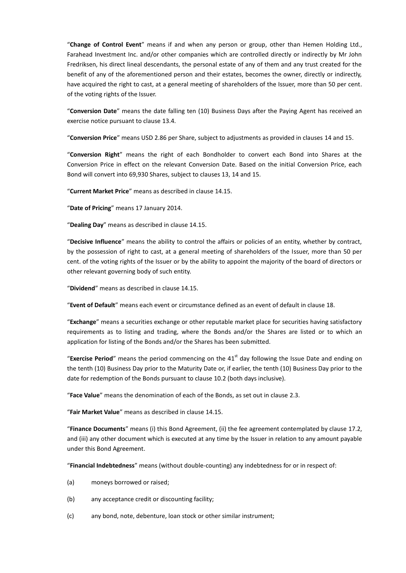"**Change of Control Event**" means if and when any person or group, other than Hemen Holding Ltd., Farahead Investment Inc. and/or other companies which are controlled directly or indirectly by Mr John Fredriksen, his direct lineal descendants, the personal estate of any of them and any trust created for the benefit of any of the aforementioned person and their estates, becomes the owner, directly or indirectly, have acquired the right to cast, at a general meeting of shareholders of the Issuer, more than 50 per cent. of the voting rights of the Issuer.

"**Conversion Date**" means the date falling ten (10) Business Days after the Paying Agent has received an exercise notice pursuant to clause [13.4.](#page-16-0)

"**Conversion Price**" means USD 2.86 per Share, subject to adjustments as provided in clauses [14](#page-17-0) and [15.](#page-28-0)

"**Conversion Right**" means the right of each Bondholder to convert each Bond into Shares at the Conversion Price in effect on the relevant Conversion Date. Based on the initial Conversion Price, each Bond will convert into 69,930 Shares, subject to clauses [13,](#page-16-1) [14](#page-17-0) and [15.](#page-28-0)

"**Current Market Price**" means as described in clause [14.15.](#page-25-0)

"**Date of Pricing**" means 17 January 2014.

"**Dealing Day**" means as described in clause [14.15.](#page-25-0)

"**Decisive Influence**" means the ability to control the affairs or policies of an entity, whether by contract, by the possession of right to cast, at a general meeting of shareholders of the Issuer, more than 50 per cent. of the voting rights of the Issuer or by the ability to appoint the majority of the board of directors or other relevant governing body of such entity.

"**Dividend**" means as described in claus[e 14.15.](#page-25-0)

"**Event of Default**" means each event or circumstance defined as an event of default in clause [18.](#page-32-0)

"**Exchange**" means a securities exchange or other reputable market place for securities having satisfactory requirements as to listing and trading, where the Bonds and/or the Shares are listed or to which an application for listing of the Bonds and/or the Shares has been submitted.

"Exercise Period" means the period commencing on the 41<sup>st</sup> day following the Issue Date and ending on the tenth (10) Business Day prior to the Maturity Date or, if earlier, the tenth (10) Business Day prior to the date for redemption of the Bonds pursuant to clause [10.2](#page-12-0) (both days inclusive).

"**Face Value**" means the denomination of each of the Bonds, as set out in clause [2.3.](#page-7-0)

"**Fair Market Value**" means as described in claus[e 14.15.](#page-25-0)

"**Finance Documents**" means (i) this Bond Agreement, (ii) the fee agreement contemplated by clause [17.2,](#page-32-1) and (iii) any other document which is executed at any time by the Issuer in relation to any amount payable under this Bond Agreement.

"**Financial Indebtedness**" means (without double-counting) any indebtedness for or in respect of:

- (a) moneys borrowed or raised;
- (b) any acceptance credit or discounting facility;
- (c) any bond, note, debenture, loan stock or other similar instrument;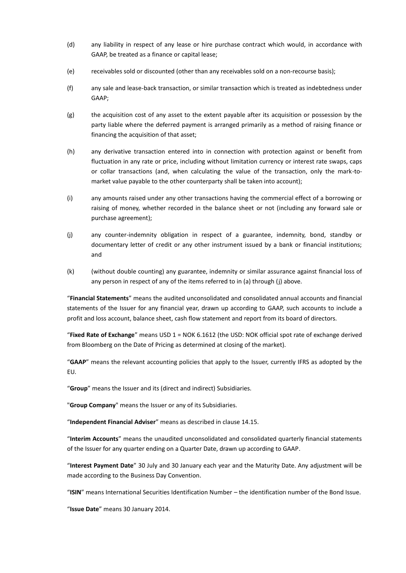- (d) any liability in respect of any lease or hire purchase contract which would, in accordance with GAAP, be treated as a finance or capital lease;
- (e) receivables sold or discounted (other than any receivables sold on a nonrecourse basis);
- (f) any sale and lease-back transaction, or similar transaction which is treated as indebtedness under GAAP;
- (g) the acquisition cost of any asset to the extent payable after its acquisition or possession by the party liable where the deferred payment is arranged primarily as a method of raising finance or financing the acquisition of that asset;
- (h) any derivative transaction entered into in connection with protection against or benefit from fluctuation in any rate or price, including without limitation currency or interest rate swaps, caps or collar transactions (and, when calculating the value of the transaction, only the mark-tomarket value payable to the other counterparty shall be taken into account);
- (i) any amounts raised under any other transactions having the commercial effect of a borrowing or raising of money, whether recorded in the balance sheet or not (including any forward sale or purchase agreement);
- (j) any counter-indemnity obligation in respect of a guarantee, indemnity, bond, standby or documentary letter of credit or any other instrument issued by a bank or financial institutions; and
- (k) (without double counting) any guarantee, indemnity or similar assurance against financial loss of any person in respect of any of the items referred to in (a) through (j) above.

"**Financial Statements**" means the audited unconsolidated and consolidated annual accounts and financial statements of the Issuer for any financial year, drawn up according to GAAP, such accounts to include a profit and loss account, balance sheet, cash flow statement and report from its board of directors.

"**Fixed Rate of Exchange**" means USD 1 = NOK 6.1612 (the USD: NOK official spot rate of exchange derived from Bloomberg on the Date of Pricing as determined at closing of the market).

"**GAAP**" means the relevant accounting policies that apply to the Issuer, currently IFRS as adopted by the EU.

"**Group**" means the Issuer and its (direct and indirect) Subsidiaries.

"**Group Company**" means the Issuer or any of its Subsidiaries.

"**Independent Financial Adviser**" means as described in claus[e 14.15.](#page-25-0)

"**Interim Accounts**" means the unaudited unconsolidated and consolidated quarterly financial statements of the Issuer for any quarter ending on a Quarter Date, drawn up according to GAAP.

"**Interest Payment Date**" 30 July and 30 January each year and the Maturity Date. Any adjustment will be made according to the Business Day Convention.

"**ISIN**" means International Securities Identification Number – the identification number of the Bond Issue.

"**Issue Date**" means 30 January 2014.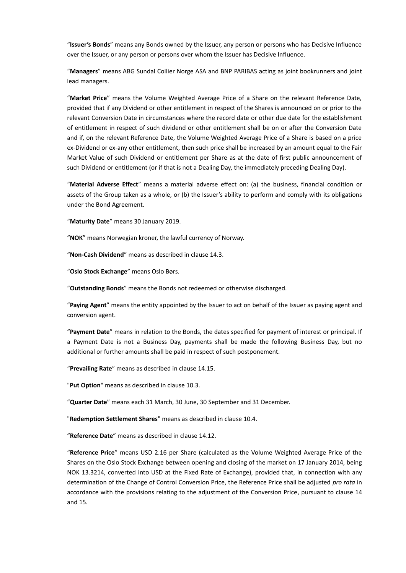"**Issuer's Bonds**" means any Bonds owned by the Issuer, any person or persons who has Decisive Influence over the Issuer, or any person or persons over whom the Issuer has Decisive Influence.

"**Managers**" means ABG Sundal Collier Norge ASA and BNP PARIBAS acting as joint bookrunners and joint lead managers.

"**Market Price**" means the Volume Weighted Average Price of a Share on the relevant Reference Date, provided that if any Dividend or other entitlement in respect of the Shares is announced on or prior to the relevant Conversion Date in circumstances where the record date or other due date for the establishment of entitlement in respect of such dividend or other entitlement shall be on or after the Conversion Date and if, on the relevant Reference Date, the Volume Weighted Average Price of a Share is based on a price ex-Dividend or ex-any other entitlement, then such price shall be increased by an amount equal to the Fair Market Value of such Dividend or entitlement per Share as at the date of first public announcement of such Dividend or entitlement (or if that is not a Dealing Day, the immediately preceding Dealing Day).

"**Material Adverse Effect**" means a material adverse effect on: (a) the business, financial condition or assets of the Group taken as a whole, or (b) the Issuer's ability to perform and comply with its obligations under the Bond Agreement.

"**Maturity Date**" means 30 January 2019.

"**NOK**" means Norwegian kroner, the lawful currency of Norway.

"**Non-Cash Dividend**" means as described in clause [14.3.](#page-18-0)

"**Oslo Stock Exchange**" means Oslo Børs.

"**Outstanding Bonds**" means the Bonds not redeemed or otherwise discharged.

"**Paying Agent**" means the entity appointed by the Issuer to act on behalf of the Issuer as paying agent and conversion agent.

"**Payment Date**" means in relation to the Bonds, the dates specified for payment of interest or principal. If a Payment Date is not a Business Day, payments shall be made the following Business Day, but no additional or further amounts shall be paid in respect of such postponement.

"**Prevailing Rate**" means as described in claus[e 14.15.](#page-25-0)

"**Put Option**" means as described in clause [10.3.](#page-12-2)

"**Quarter Date**" means each 31 March, 30 June, 30 September and 31 December.

"**Redemption Settlement Shares**" means as described in clause [10.4.](#page-13-1)

"**Reference Date**" means as described in clause [14.12.](#page-24-0)

"**Reference Price**" means USD 2.16 per Share (calculated as the Volume Weighted Average Price of the Shares on the Oslo Stock Exchange between opening and closing of the market on 17 January 2014, being NOK 13.3214, converted into USD at the Fixed Rate of Exchange), provided that, in connection with any determination of the Change of Control Conversion Price, the Reference Price shall be adjusted *pro rata* in accordance with the provisions relating to the adjustment of the Conversion Price, pursuant to clause [14](#page-17-0) and [15.](#page-28-0)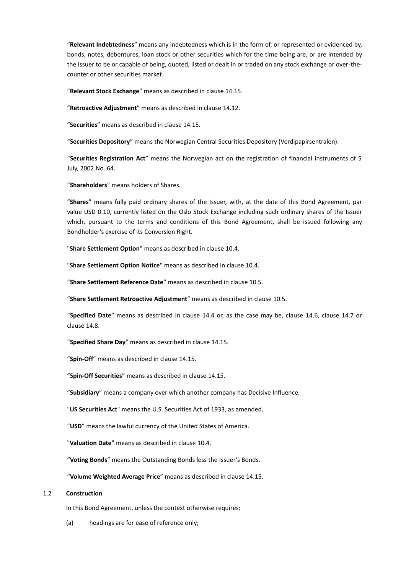"**Relevant Indebtedness**" means any indebtedness which is in the form of, or represented or evidenced by, bonds, notes, debentures, loan stock or other securities which for the time being are, or are intended by the Issuer to be or capable of being, quoted, listed or dealt in or traded on any stock exchange or over-thecounter or other securities market.

"**Relevant Stock Exchange**" means as described in claus[e 14.15.](#page-25-0)

"**Retroactive Adjustment**" means as described in clause [14.12.](#page-24-0)

"**Securities**" means as described in clause [14.15.](#page-25-0)

"**Securities Depository**" means the Norwegian Central Securities Depository (Verdipapirsentralen).

"**Securities Registration Act**" means the Norwegian act on the registration of financial instruments of 5 July, 2002 No. 64.

"**Shareholders**" means holders of Shares.

"**Shares**" means fully paid ordinary shares of the Issuer, with, at the date of this Bond Agreement, par value USD 0.10, currently listed on the Oslo Stock Exchange including such ordinary shares of the Issuer which, pursuant to the terms and conditions of this Bond Agreement, shall be issued following any Bondholder's exercise of its Conversion Right.

"**Share Settlement Option**" means as described in clause [10.4.](#page-13-1)

"**Share Settlement Option Notice**" means as described in clause [10.4.](#page-13-1)

"**Share Settlement Reference Date**" means as described in clause [10.5.](#page-14-0)

"**Share Settlement Retroactive Adjustment**" means as described in clause [10.5.](#page-14-0)

"**Specified Date**" means as described in clause [14.4](#page-19-0) or, as the case may be, clause [14.6,](#page-20-0) clause [14.7](#page-21-0) or clause [14.8.](#page-22-0)

"**Specified Share Day**" means as described in clause [14.15.](#page-25-0)

"**Spin-Off**" means as described in claus[e 14.15.](#page-25-0)

"**Spin-Off Securities**" means as described in clause [14.15.](#page-25-0)

"**Subsidiary**" means a company over which another company has Decisive Influence.

"**US Securities Act**" means the U.S. Securities Act of 1933, as amended.

"**USD**" means the lawful currency of the United States of America.

"**Valuation Date**" means as described in claus[e 10.4.](#page-13-1)

"**Voting Bonds**" means the Outstanding Bonds less the Issuer's Bonds.

"**Volume Weighted Average Price**" means as described in clause [14.15.](#page-25-0)

#### 1.2 **Construction**

In this Bond Agreement, unless the context otherwise requires:

(a) headings are for ease of reference only;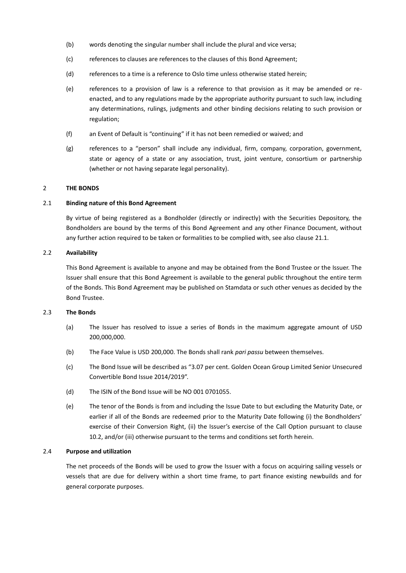- (b) words denoting the singular number shall include the plural and vice versa;
- (c) references to clauses are references to the clauses of this Bond Agreement;
- (d) references to a time is a reference to Oslo time unless otherwise stated herein;
- (e) references to a provision of law is a reference to that provision as it may be amended or reenacted, and to any regulations made by the appropriate authority pursuant to such law, including any determinations, rulings, judgments and other binding decisions relating to such provision or regulation;
- (f) an Event of Default is "continuing" if it has not been remedied or waived; and
- (g) references to a "person" shall include any individual, firm, company, corporation, government, state or agency of a state or any association, trust, joint venture, consortium or partnership (whether or not having separate legal personality).

# 2 **THE BONDS**

# 2.1 **Binding nature of this Bond Agreement**

By virtue of being registered as a Bondholder (directly or indirectly) with the Securities Depository, the Bondholders are bound by the terms of this Bond Agreement and any other Finance Document, without any further action required to be taken or formalities to be complied with, see also clause [21.1.](#page-38-0)

# 2.2 **Availability**

This Bond Agreement is available to anyone and may be obtained from the Bond Trustee or the Issuer. The Issuer shall ensure that this Bond Agreement is available to the general public throughout the entire term of the Bonds. This Bond Agreement may be published on Stamdata or such other venues as decided by the Bond Trustee.

# <span id="page-7-0"></span>2.3 **The Bonds**

- (a) The Issuer has resolved to issue a series of Bonds in the maximum aggregate amount of USD 200,000,000.
- (b) The Face Value is USD 200,000. The Bonds shall rank *pari passu* between themselves.
- (c) The Bond Issue will be described as "3.07 per cent. Golden Ocean Group Limited Senior Unsecured Convertible Bond Issue 2014/2019".
- (d) The ISIN of the Bond Issue will be NO 001 0701055.
- (e) The tenor of the Bonds is from and including the Issue Date to but excluding the Maturity Date, or earlier if all of the Bonds are redeemed prior to the Maturity Date following (i) the Bondholders' exercise of their Conversion Right, (ii) the Issuer's exercise of the Call Option pursuant to clause [10.2,](#page-12-0) and/or (iii) otherwise pursuant to the terms and conditions set forth herein.

# 2.4 **Purpose and utilization**

The net proceeds of the Bonds will be used to grow the Issuer with a focus on acquiring sailing vessels or vessels that are due for delivery within a short time frame, to part finance existing newbuilds and for general corporate purposes.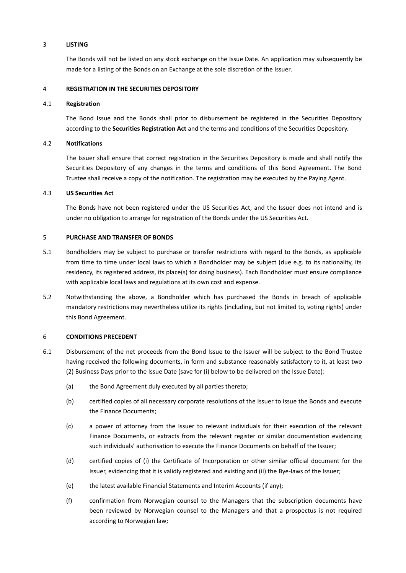### 3 **LISTING**

The Bonds will not be listed on any stock exchange on the Issue Date. An application may subsequently be made for a listing of the Bonds on an Exchange at the sole discretion of the Issuer.

### 4 **REGISTRATION IN THE SECURITIES DEPOSITORY**

### 4.1 **Registration**

The Bond Issue and the Bonds shall prior to disbursement be registered in the Securities Depository according to the **Securities Registration Act** and the terms and conditions of the Securities Depository.

### 4.2 **Notifications**

The Issuer shall ensure that correct registration in the Securities Depository is made and shall notify the Securities Depository of any changes in the terms and conditions of this Bond Agreement. The Bond Trustee shall receive a copy of the notification. The registration may be executed by the Paying Agent.

# 4.3 **US Securities Act**

The Bonds have not been registered under the US Securities Act, and the Issuer does not intend and is under no obligation to arrange for registration of the Bonds under the US Securities Act.

### 5 **PURCHASE AND TRANSFER OF BONDS**

- 5.1 Bondholders may be subject to purchase or transfer restrictions with regard to the Bonds, as applicable from time to time under local laws to which a Bondholder may be subject (due e.g. to its nationality, its residency, its registered address, its place(s) for doing business). Each Bondholder must ensure compliance with applicable local laws and regulations at its own cost and expense.
- 5.2 Notwithstanding the above, a Bondholder which has purchased the Bonds in breach of applicable mandatory restrictions may nevertheless utilize its rights (including, but not limited to, voting rights) under this Bond Agreement.

# 6 **CONDITIONS PRECEDENT**

- <span id="page-8-0"></span>6.1 Disbursement of the net proceeds from the Bond Issue to the Issuer will be subject to the Bond Trustee having received the following documents, in form and substance reasonably satisfactory to it, at least two (2) Business Days prior to the Issue Date (save for (i) below to be delivered on the Issue Date):
	- (a) the Bond Agreement duly executed by all parties thereto;
	- (b) certified copies of all necessary corporate resolutions of the Issuer to issue the Bonds and execute the Finance Documents;
	- (c) a power of attorney from the Issuer to relevant individuals for their execution of the relevant Finance Documents, or extracts from the relevant register or similar documentation evidencing such individuals' authorisation to execute the Finance Documents on behalf of the Issuer;
	- (d) certified copies of (i) the Certificate of Incorporation or other similar official document for the Issuer, evidencing that it is validly registered and existing and (ii) the Bye-laws of the Issuer;
	- (e) the latest available Financial Statements and Interim Accounts (if any);
	- (f) confirmation from Norwegian counsel to the Managers that the subscription documents have been reviewed by Norwegian counsel to the Managers and that a prospectus is not required according to Norwegian law;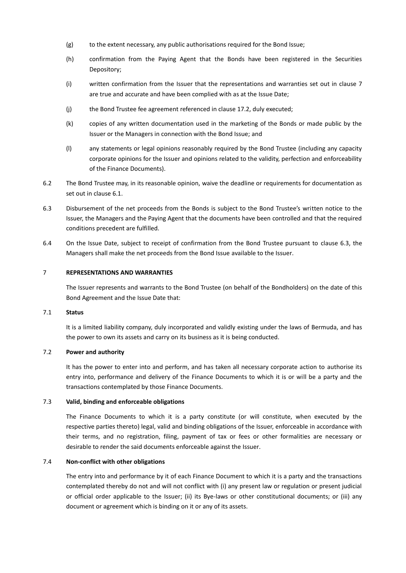- (g) to the extent necessary, any public authorisations required for the Bond Issue;
- (h) confirmation from the Paying Agent that the Bonds have been registered in the Securities Depository;
- (i) written confirmation from the Issuer that the representations and warranties set out in clause [7](#page-9-0) are true and accurate and have been complied with as at the Issue Date;
- (j) the Bond Trustee fee agreement referenced in clause [17.2,](#page-32-1) duly executed;
- (k) copies of any written documentation used in the marketing of the Bonds or made public by the Issuer or the Managers in connection with the Bond Issue; and
- (l) any statements or legal opinions reasonably required by the Bond Trustee (including any capacity corporate opinions for the Issuer and opinions related to the validity, perfection and enforceability of the Finance Documents).
- 6.2 The Bond Trustee may, in its reasonable opinion, waive the deadline or requirements for documentation as set out in clause [6.1.](#page-8-0)
- <span id="page-9-1"></span>6.3 Disbursement of the net proceeds from the Bonds is subject to the Bond Trustee's written notice to the Issuer, the Managers and the Paying Agent that the documents have been controlled and that the required conditions precedent are fulfilled.
- 6.4 On the Issue Date, subject to receipt of confirmation from the Bond Trustee pursuant to clause [6.3,](#page-9-1) the Managers shall make the net proceeds from the Bond Issue available to the Issuer.

### <span id="page-9-0"></span>7 **REPRESENTATIONS AND WARRANTIES**

The Issuer represents and warrants to the Bond Trustee (on behalf of the Bondholders) on the date of this Bond Agreement and the Issue Date that:

# 7.1 **Status**

It is a limited liability company, duly incorporated and validly existing under the laws of Bermuda, and has the power to own its assets and carry on its business as it is being conducted.

#### 7.2 **Power and authority**

It has the power to enter into and perform, and has taken all necessary corporate action to authorise its entry into, performance and delivery of the Finance Documents to which it is or will be a party and the transactions contemplated by those Finance Documents.

# 7.3 **Valid, binding and enforceable obligations**

The Finance Documents to which it is a party constitute (or will constitute, when executed by the respective parties thereto) legal, valid and binding obligations of the Issuer, enforceable in accordance with their terms, and no registration, filing, payment of tax or fees or other formalities are necessary or desirable to render the said documents enforceable against the Issuer.

#### 7.4 **Non-conflict with other obligations**

The entry into and performance by it of each Finance Document to which it is a party and the transactions contemplated thereby do not and will not conflict with (i) any present law or regulation or present judicial or official order applicable to the Issuer; (ii) its Bye-laws or other constitutional documents; or (iii) any document or agreement which is binding on it or any of its assets.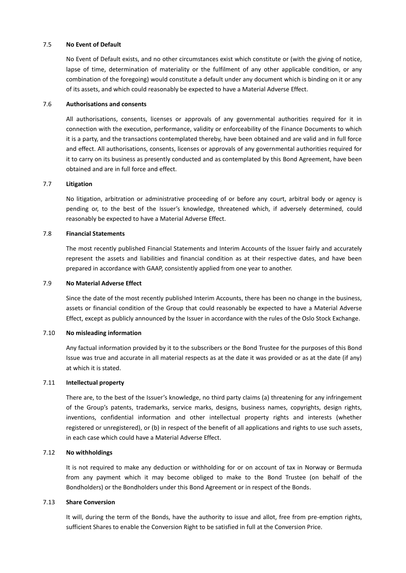### 7.5 **No Event of Default**

No Event of Default exists, and no other circumstances exist which constitute or (with the giving of notice, lapse of time, determination of materiality or the fulfilment of any other applicable condition, or any combination of the foregoing) would constitute a default under any document which is binding on it or any of its assets, and which could reasonably be expected to have a Material Adverse Effect.

### 7.6 **Authorisations and consents**

All authorisations, consents, licenses or approvals of any governmental authorities required for it in connection with the execution, performance, validity or enforceability of the Finance Documents to which it is a party, and the transactions contemplated thereby, have been obtained and are valid and in full force and effect. All authorisations, consents, licenses or approvals of any governmental authorities required for it to carry on its business as presently conducted and as contemplated by this Bond Agreement, have been obtained and are in full force and effect.

# 7.7 **Litigation**

No litigation, arbitration or administrative proceeding of or before any court, arbitral body or agency is pending or, to the best of the Issuer's knowledge, threatened which, if adversely determined, could reasonably be expected to have a Material Adverse Effect.

### 7.8 **Financial Statements**

The most recently published Financial Statements and Interim Accounts of the Issuer fairly and accurately represent the assets and liabilities and financial condition as at their respective dates, and have been prepared in accordance with GAAP, consistently applied from one year to another.

### 7.9 **No Material Adverse Effect**

Since the date of the most recently published Interim Accounts, there has been no change in the business, assets or financial condition of the Group that could reasonably be expected to have a Material Adverse Effect, except as publicly announced by the Issuer in accordance with the rules of the Oslo Stock Exchange.

### 7.10 **No misleading information**

Any factual information provided by it to the subscribers or the Bond Trustee for the purposes of this Bond Issue was true and accurate in all material respects as at the date it was provided or as at the date (if any) at which it is stated.

# 7.11 **Intellectual property**

There are, to the best of the Issuer's knowledge, no third party claims (a) threatening for any infringement of the Group's patents, trademarks, service marks, designs, business names, copyrights, design rights, inventions, confidential information and other intellectual property rights and interests (whether registered or unregistered), or (b) in respect of the benefit of all applications and rights to use such assets, in each case which could have a Material Adverse Effect.

#### 7.12 **No withholdings**

It is not required to make any deduction or withholding for or on account of tax in Norway or Bermuda from any payment which it may become obliged to make to the Bond Trustee (on behalf of the Bondholders) or the Bondholders under this Bond Agreement or in respect of the Bonds.

### 7.13 **Share Conversion**

It will, during the term of the Bonds, have the authority to issue and allot, free from pre-emption rights, sufficient Shares to enable the Conversion Right to be satisfied in full at the Conversion Price.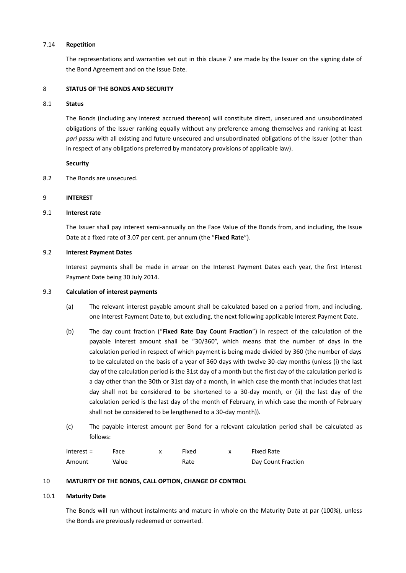### 7.14 **Repetition**

The representations and warranties set out in this clause [7](#page-9-0) are made by the Issuer on the signing date of the Bond Agreement and on the Issue Date.

### 8 **STATUS OF THE BONDS AND SECURITY**

### <span id="page-11-3"></span>8.1 **Status**

The Bonds (including any interest accrued thereon) will constitute direct, unsecured and unsubordinated obligations of the Issuer ranking equally without any preference among themselves and ranking at least *pari passu* with all existing and future unsecured and unsubordinated obligations of the Issuer (other than in respect of any obligations preferred by mandatory provisions of applicable law).

### **Security**

8.2 The Bonds are unsecured.

### <span id="page-11-2"></span>9 **INTEREST**

### 9.1 **Interest rate**

The Issuer shall pay interest semi-annually on the Face Value of the Bonds from, and including, the Issue Date at a fixed rate of 3.07 per cent. per annum (the "**Fixed Rate**").

### 9.2 **Interest Payment Dates**

Interest payments shall be made in arrear on the Interest Payment Dates each year, the first Interest Payment Date being 30 July 2014.

#### 9.3 **Calculation of interest payments**

- (a) The relevant interest payable amount shall be calculated based on a period from, and including, one Interest Payment Date to, but excluding, the next following applicable Interest Payment Date.
- (b) The day count fraction ("**Fixed Rate Day Count Fraction**") in respect of the calculation of the payable interest amount shall be "30/360", which means that the number of days in the calculation period in respect of which payment is being made divided by 360 (the number of days to be calculated on the basis of a year of 360 days with twelve 30-day months (unless (i) the last day of the calculation period is the 31st day of a month but the first day of the calculation period is a day other than the 30th or 31st day of a month, in which case the month that includes that last day shall not be considered to be shortened to a 30-day month, or (ii) the last day of the calculation period is the last day of the month of February, in which case the month of February shall not be considered to be lengthened to a 30-day month)).
- (c) The payable interest amount per Bond for a relevant calculation period shall be calculated as follows:

| Interest $=$ | Face  | Fixed | Fixed Rate         |
|--------------|-------|-------|--------------------|
| Amount       | Value | Rate  | Day Count Fraction |

# <span id="page-11-0"></span>10 **MATURITY OF THE BONDS, CALL OPTION, CHANGE OF CONTROL**

#### <span id="page-11-1"></span>10.1 **Maturity Date**

The Bonds will run without instalments and mature in whole on the Maturity Date at par (100%), unless the Bonds are previously redeemed or converted.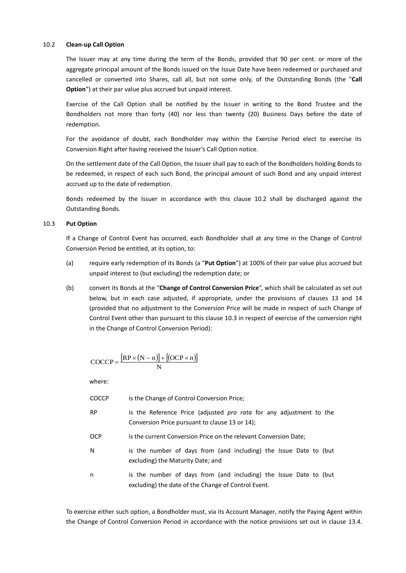# <span id="page-12-0"></span>10.2 **Clean-up Call Option**

The Issuer may at any time during the term of the Bonds, provided that 90 per cent. or more of the aggregate principal amount of the Bonds issued on the Issue Date have been redeemed or purchased and cancelled or converted into Shares, call all, but not some only, of the Outstanding Bonds (the "**Call Option**") at their par value plus accrued but unpaid interest.

Exercise of the Call Option shall be notified by the Issuer in writing to the Bond Trustee and the Bondholders not more than forty (40) nor less than twenty (20) Business Days before the date of redemption.

For the avoidance of doubt, each Bondholder may within the Exercise Period elect to exercise its Conversion Right after having received the Issuer's Call Option notice.

On the settlement date of the Call Option, the Issuer shall pay to each of the Bondholders holding Bonds to be redeemed, in respect of each such Bond, the principal amount of such Bond and any unpaid interest accrued up to the date of redemption.

Bonds redeemed by the Issuer in accordance with this clause [10.2](#page-12-0) shall be discharged against the Outstanding Bonds.

### <span id="page-12-2"></span>10.3 **Put Option**

If a Change of Control Event has occurred, each Bondholder shall at any time in the Change of Control Conversion Period be entitled, at its option, to:

- <span id="page-12-3"></span>(a) require early redemption of its Bonds (a "**Put Option**") at 100% of their par value plus accrued but unpaid interest to (but excluding) the redemption date; or
- <span id="page-12-1"></span>(b) convert its Bonds at the "**Change of Control Conversion Price**", which shall be calculated as set out below, but in each case adjusted, if appropriate, under the provisions of clauses [13](#page-16-1) and [14](#page-17-0) (provided that no adjustment to the Conversion Price will be made in respect of such Change of Control Event other than pursuant to this clause [10.3](#page-12-2) in respect of exercise of the conversion right in the Change of Control Conversion Period):

$$
COCCP = \frac{[RP \times (N-n)] + [(OCP \times n)]}{N}
$$

where:

- COCCP is the Change of Control Conversion Price;
- RP is the Reference Price (adjusted *pro rata* for any adjustment to the Conversion Price pursuant to claus[e 13](#page-16-1) or [14\)](#page-17-0);
- OCP is the current Conversion Price on the relevant Conversion Date;
- N is the number of days from (and including) the Issue Date to (but excluding) the Maturity Date; and
- n is the number of days from (and including) the Issue Date to (but excluding) the date of the Change of Control Event.

To exercise either such option, a Bondholder must, via its Account Manager, notify the Paying Agent within the Change of Control Conversion Period in accordance with the notice provisions set out in clause [13.4.](#page-16-0)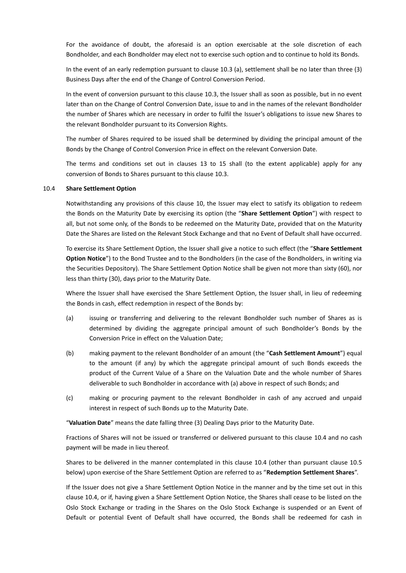For the avoidance of doubt, the aforesaid is an option exercisable at the sole discretion of each Bondholder, and each Bondholder may elect not to exercise such option and to continue to hold its Bonds.

In the event of an early redemption pursuant to clause [10.3](#page-12-2) [\(a\),](#page-12-3) settlement shall be no later than three (3) Business Days after the end of the Change of Control Conversion Period.

In the event of conversion pursuant to this clause [10.3,](#page-12-2) the Issuer shall as soon as possible, but in no event later than on the Change of Control Conversion Date, issue to and in the names of the relevant Bondholder the number of Shares which are necessary in order to fulfil the Issuer's obligations to issue new Shares to the relevant Bondholder pursuant to its Conversion Rights.

The number of Shares required to be issued shall be determined by dividing the principal amount of the Bonds by the Change of Control Conversion Price in effect on the relevant Conversion Date.

The terms and conditions set out in clauses [13](#page-16-1) to [15](#page-28-0) shall (to the extent applicable) apply for any conversion of Bonds to Shares pursuant to this clause [10.3.](#page-12-2)

#### <span id="page-13-1"></span>10.4 **Share Settlement Option**

Notwithstanding any provisions of this clause [10,](#page-11-0) the Issuer may elect to satisfy its obligation to redeem the Bonds on the Maturity Date by exercising its option (the "**Share Settlement Option**") with respect to all, but not some only, of the Bonds to be redeemed on the Maturity Date, provided that on the Maturity Date the Shares are listed on the Relevant Stock Exchange and that no Event of Default shall have occurred.

To exercise its Share Settlement Option, the Issuer shall give a notice to such effect (the "**Share Settlement Option Notice**") to the Bond Trustee and to the Bondholders (in the case of the Bondholders, in writing via the Securities Depository). The Share Settlement Option Notice shall be given not more than sixty (60), nor less than thirty (30), days prior to the Maturity Date.

Where the Issuer shall have exercised the Share Settlement Option, the Issuer shall, in lieu of redeeming the Bonds in cash, effect redemption in respect of the Bonds by:

- (a) issuing or transferring and delivering to the relevant Bondholder such number of Shares as is determined by dividing the aggregate principal amount of such Bondholder's Bonds by the Conversion Price in effect on the Valuation Date;
- <span id="page-13-0"></span>(b) making payment to the relevant Bondholder of an amount (the "**Cash Settlement Amount**") equal to the amount (if any) by which the aggregate principal amount of such Bonds exceeds the product of the Current Value of a Share on the Valuation Date and the whole number of Shares deliverable to such Bondholder in accordance with (a) above in respect of such Bonds; and
- (c) making or procuring payment to the relevant Bondholder in cash of any accrued and unpaid interest in respect of such Bonds up to the Maturity Date.

"**Valuation Date**" means the date falling three (3) Dealing Days prior to the Maturity Date.

Fractions of Shares will not be issued or transferred or delivered pursuant to this clause [10.4](#page-13-1) and no cash payment will be made in lieu thereof.

Shares to be delivered in the manner contemplated in this clause [10.4](#page-13-1) (other than pursuant clause [10.5](#page-14-0) below) upon exercise of the Share Settlement Option are referred to as "**Redemption Settlement Shares**".

If the Issuer does not give a Share Settlement Option Notice in the manner and by the time set out in this clause [10.4,](#page-13-1) or if, having given a Share Settlement Option Notice, the Shares shall cease to be listed on the Oslo Stock Exchange or trading in the Shares on the Oslo Stock Exchange is suspended or an Event of Default or potential Event of Default shall have occurred, the Bonds shall be redeemed for cash in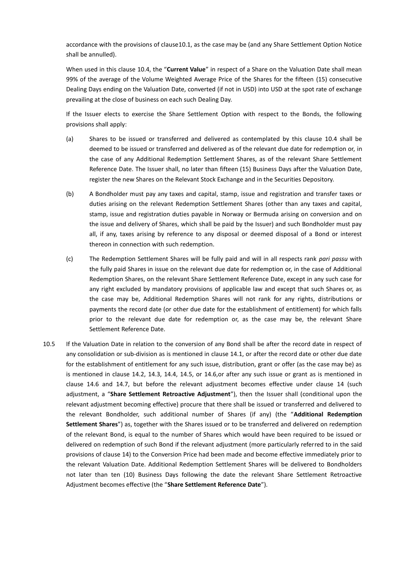accordance with the provisions of claus[e10.1,](#page-11-1) as the case may be (and any Share Settlement Option Notice shall be annulled).

When used in this clause [10.4,](#page-13-1) the "**Current Value**" in respect of a Share on the Valuation Date shall mean 99% of the average of the Volume Weighted Average Price of the Shares for the fifteen (15) consecutive Dealing Days ending on the Valuation Date, converted (if not in USD) into USD at the spot rate of exchange prevailing at the close of business on each such Dealing Day.

If the Issuer elects to exercise the Share Settlement Option with respect to the Bonds, the following provisions shall apply:

- (a) Shares to be issued or transferred and delivered as contemplated by this clause [10.4](#page-13-1) shall be deemed to be issued or transferred and delivered as of the relevant due date for redemption or, in the case of any Additional Redemption Settlement Shares, as of the relevant Share Settlement Reference Date. The Issuer shall, no later than fifteen (15) Business Days after the Valuation Date, register the new Shares on the Relevant Stock Exchange and in the Securities Depository.
- (b) A Bondholder must pay any taxes and capital, stamp, issue and registration and transfer taxes or duties arising on the relevant Redemption Settlement Shares (other than any taxes and capital, stamp, issue and registration duties payable in Norway or Bermuda arising on conversion and on the issue and delivery of Shares, which shall be paid by the Issuer) and such Bondholder must pay all, if any, taxes arising by reference to any disposal or deemed disposal of a Bond or interest thereon in connection with such redemption.
- (c) The Redemption Settlement Shares will be fully paid and will in all respects rank *pari passu* with the fully paid Shares in issue on the relevant due date for redemption or, in the case of Additional Redemption Shares, on the relevant Share Settlement Reference Date, except in any such case for any right excluded by mandatory provisions of applicable law and except that such Shares or, as the case may be, Additional Redemption Shares will not rank for any rights, distributions or payments the record date (or other due date for the establishment of entitlement) for which falls prior to the relevant due date for redemption or, as the case may be, the relevant Share Settlement Reference Date.
- <span id="page-14-0"></span>10.5 If the Valuation Date in relation to the conversion of any Bond shall be after the record date in respect of any consolidation or sub-division as is mentioned in claus[e 14.1,](#page-18-1) or after the record date or other due date for the establishment of entitlement for any such issue, distribution, grant or offer (as the case may be) as is mentioned in clause [14.2,](#page-18-2) [14.3,](#page-18-0) [14.4,](#page-19-0) [14.5,](#page-20-1) or [14.6,o](#page-20-0)r after any such issue or grant as is mentioned in clause [14.6](#page-20-0) and [14.7,](#page-21-0) but before the relevant adjustment becomes effective under clause [14](#page-17-0) (such adjustment, a "**Share Settlement Retroactive Adjustment**"), then the Issuer shall (conditional upon the relevant adjustment becoming effective) procure that there shall be issued or transferred and delivered to the relevant Bondholder, such additional number of Shares (if any) (the "**Additional Redemption Settlement Shares**") as, together with the Shares issued or to be transferred and delivered on redemption of the relevant Bond, is equal to the number of Shares which would have been required to be issued or delivered on redemption of such Bond if the relevant adjustment (more particularly referred to in the said provisions of clause [14\)](#page-17-0) to the Conversion Price had been made and become effective immediately prior to the relevant Valuation Date. Additional Redemption Settlement Shares will be delivered to Bondholders not later than ten (10) Business Days following the date the relevant Share Settlement Retroactive Adjustment becomes effective (the "**Share Settlement Reference Date**").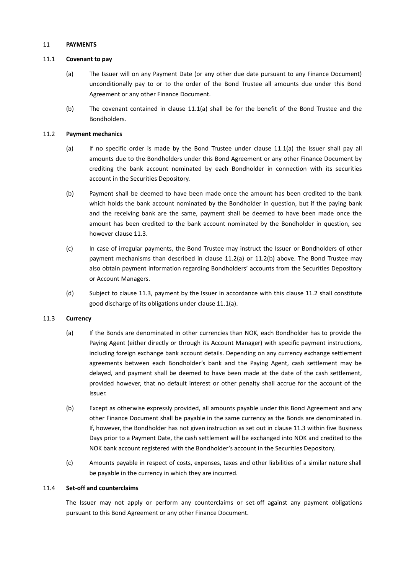### 11 **PAYMENTS**

### <span id="page-15-0"></span>11.1 **Covenant to pay**

- (a) The Issuer will on any Payment Date (or any other due date pursuant to any Finance Document) unconditionally pay to or to the order of the Bond Trustee all amounts due under this Bond Agreement or any other Finance Document.
- (b) The covenant contained in clause [11.1\(a\)](#page-15-0) shall be for the benefit of the Bond Trustee and the Bondholders.

### <span id="page-15-4"></span><span id="page-15-2"></span>11.2 **Payment mechanics**

- (a) If no specific order is made by the Bond Trustee under clause [11.1\(a\)](#page-15-0) the Issuer shall pay all amounts due to the Bondholders under this Bond Agreement or any other Finance Document by crediting the bank account nominated by each Bondholder in connection with its securities account in the Securities Depository.
- <span id="page-15-3"></span>(b) Payment shall be deemed to have been made once the amount has been credited to the bank which holds the bank account nominated by the Bondholder in question, but if the paying bank and the receiving bank are the same, payment shall be deemed to have been made once the amount has been credited to the bank account nominated by the Bondholder in question, see however claus[e 11.3.](#page-15-1)
- (c) In case of irregular payments, the Bond Trustee may instruct the Issuer or Bondholders of other payment mechanisms than described in clause [11.2\(a\)](#page-15-2) or [11.2\(b\)](#page-15-3) above. The Bond Trustee may also obtain payment information regarding Bondholders' accounts from the Securities Depository or Account Managers.
- (d) Subject to clause [11.3,](#page-15-1) payment by the Issuer in accordance with this clause [11.2](#page-15-4) shall constitute good discharge of its obligations under clause [11.1\(a\).](#page-15-0)

# <span id="page-15-1"></span>11.3 **Currency**

- (a) If the Bonds are denominated in other currencies than NOK, each Bondholder has to provide the Paying Agent (either directly or through its Account Manager) with specific payment instructions, including foreign exchange bank account details. Depending on any currency exchange settlement agreements between each Bondholder's bank and the Paying Agent, cash settlement may be delayed, and payment shall be deemed to have been made at the date of the cash settlement, provided however, that no default interest or other penalty shall accrue for the account of the Issuer.
- (b) Except as otherwise expressly provided, all amounts payable under this Bond Agreement and any other Finance Document shall be payable in the same currency as the Bonds are denominated in. If, however, the Bondholder has not given instruction as set out in claus[e 11.3](#page-15-1) within five Business Days prior to a Payment Date, the cash settlement will be exchanged into NOK and credited to the NOK bank account registered with the Bondholder's account in the Securities Depository.
- (c) Amounts payable in respect of costs, expenses, taxes and other liabilities of a similar nature shall be payable in the currency in which they are incurred.

#### 11.4 **Set-off and counterclaims**

The Issuer may not apply or perform any counterclaims or set-off against any payment obligations pursuant to this Bond Agreement or any other Finance Document.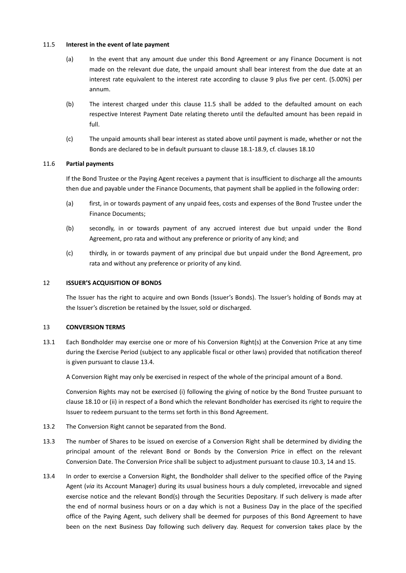### <span id="page-16-2"></span>11.5 **Interest in the event of late payment**

- (a) In the event that any amount due under this Bond Agreement or any Finance Document is not made on the relevant due date, the unpaid amount shall bear interest from the due date at an interest rate equivalent to the interest rate according to clause [9](#page-11-2) plus five per cent. (5.00%) per annum.
- (b) The interest charged under this clause [11.5](#page-16-2) shall be added to the defaulted amount on each respective Interest Payment Date relating thereto until the defaulted amount has been repaid in full.
- (c) The unpaid amounts shall bear interest as stated above until payment is made, whether or not the Bonds are declared to be in default pursuant to claus[e 18.1](#page-32-2)-[18.9,](#page-33-0) cf. clause[s 18.10](#page-34-1)

# 11.6 **Partial payments**

If the Bond Trustee or the Paying Agent receives a payment that is insufficient to discharge all the amounts then due and payable under the Finance Documents, that payment shall be applied in the following order:

- (a) first, in or towards payment of any unpaid fees, costs and expenses of the Bond Trustee under the Finance Documents;
- (b) secondly, in or towards payment of any accrued interest due but unpaid under the Bond Agreement, pro rata and without any preference or priority of any kind; and
- (c) thirdly, in or towards payment of any principal due but unpaid under the Bond Agreement, pro rata and without any preference or priority of any kind.

### 12 **ISSUER'S ACQUISITION OF BONDS**

The Issuer has the right to acquire and own Bonds (Issuer's Bonds). The Issuer's holding of Bonds may at the Issuer's discretion be retained by the Issuer, sold or discharged.

# <span id="page-16-1"></span>13 **CONVERSION TERMS**

13.1 Each Bondholder may exercise one or more of his Conversion Right(s) at the Conversion Price at any time during the Exercise Period (subject to any applicable fiscal or other laws) provided that notification thereof is given pursuant to clause [13.4.](#page-16-0)

A Conversion Right may only be exercised in respect of the whole of the principal amount of a Bond.

Conversion Rights may not be exercised (i) following the giving of notice by the Bond Trustee pursuant to claus[e 18.10](#page-34-1) or (ii) in respect of a Bond which the relevant Bondholder has exercised its right to require the Issuer to redeem pursuant to the terms set forth in this Bond Agreement.

- <span id="page-16-3"></span>13.2 The Conversion Right cannot be separated from the Bond.
- 13.3 The number of Shares to be issued on exercise of a Conversion Right shall be determined by dividing the principal amount of the relevant Bond or Bonds by the Conversion Price in effect on the relevant Conversion Date. The Conversion Price shall be subject to adjustment pursuant to claus[e 10.3,](#page-12-2) [14](#page-17-0) and [15.](#page-28-0)
- <span id="page-16-0"></span>13.4 In order to exercise a Conversion Right, the Bondholder shall deliver to the specified office of the Paying Agent (*via* its Account Manager) during its usual business hours a duly completed, irrevocable and signed exercise notice and the relevant Bond(s) through the Securities Depositary. If such delivery is made after the end of normal business hours or on a day which is not a Business Day in the place of the specified office of the Paying Agent, such delivery shall be deemed for purposes of this Bond Agreement to have been on the next Business Day following such delivery day. Request for conversion takes place by the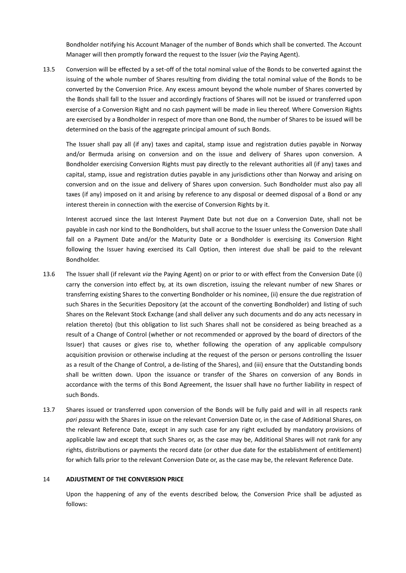Bondholder notifying his Account Manager of the number of Bonds which shall be converted. The Account Manager will then promptly forward the request to the Issuer (*via* the Paying Agent).

13.5 Conversion will be effected by a set-off of the total nominal value of the Bonds to be converted against the issuing of the whole number of Shares resulting from dividing the total nominal value of the Bonds to be converted by the Conversion Price. Any excess amount beyond the whole number of Shares converted by the Bonds shall fall to the Issuer and accordingly fractions of Shares will not be issued or transferred upon exercise of a Conversion Right and no cash payment will be made in lieu thereof. Where Conversion Rights are exercised by a Bondholder in respect of more than one Bond, the number of Shares to be issued will be determined on the basis of the aggregate principal amount of such Bonds.

The Issuer shall pay all (if any) taxes and capital, stamp issue and registration duties payable in Norway and/or Bermuda arising on conversion and on the issue and delivery of Shares upon conversion. A Bondholder exercising Conversion Rights must pay directly to the relevant authorities all (if any) taxes and capital, stamp, issue and registration duties payable in any jurisdictions other than Norway and arising on conversion and on the issue and delivery of Shares upon conversion. Such Bondholder must also pay all taxes (if any) imposed on it and arising by reference to any disposal or deemed disposal of a Bond or any interest therein in connection with the exercise of Conversion Rights by it.

Interest accrued since the last Interest Payment Date but not due on a Conversion Date, shall not be payable in cash nor kind to the Bondholders, but shall accrue to the Issuer unless the Conversion Date shall fall on a Payment Date and/or the Maturity Date or a Bondholder is exercising its Conversion Right following the Issuer having exercised its Call Option, then interest due shall be paid to the relevant Bondholder.

- 13.6 The Issuer shall (if relevant *via* the Paying Agent) on or prior to or with effect from the Conversion Date (i) carry the conversion into effect by, at its own discretion, issuing the relevant number of new Shares or transferring existing Shares to the converting Bondholder or his nominee, (ii) ensure the due registration of such Shares in the Securities Depository (at the account of the converting Bondholder) and listing of such Shares on the Relevant Stock Exchange (and shall deliver any such documents and do any acts necessary in relation thereto) (but this obligation to list such Shares shall not be considered as being breached as a result of a Change of Control (whether or not recommended or approved by the board of directors of the Issuer) that causes or gives rise to, whether following the operation of any applicable compulsory acquisition provision or otherwise including at the request of the person or persons controlling the Issuer as a result of the Change of Control, a de-listing of the Shares), and (iii) ensure that the Outstanding bonds shall be written down. Upon the issuance or transfer of the Shares on conversion of any Bonds in accordance with the terms of this Bond Agreement, the Issuer shall have no further liability in respect of such Bonds.
- 13.7 Shares issued or transferred upon conversion of the Bonds will be fully paid and will in all respects rank *pari passu* with the Shares in issue on the relevant Conversion Date or, in the case of Additional Shares, on the relevant Reference Date, except in any such case for any right excluded by mandatory provisions of applicable law and except that such Shares or, as the case may be, Additional Shares will not rank for any rights, distributions or payments the record date (or other due date for the establishment of entitlement) for which falls prior to the relevant Conversion Date or, as the case may be, the relevant Reference Date.

# <span id="page-17-0"></span>14 **ADJUSTMENT OF THE CONVERSION PRICE**

Upon the happening of any of the events described below, the Conversion Price shall be adjusted as follows: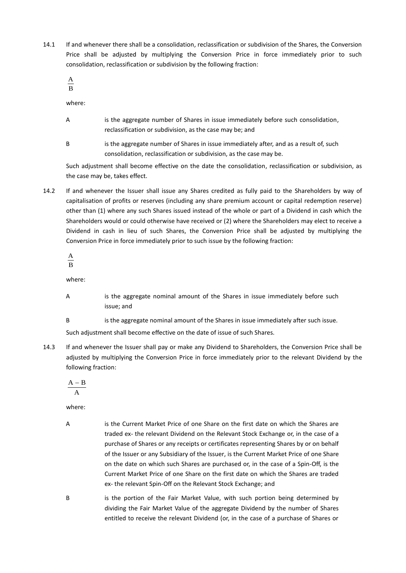<span id="page-18-1"></span>14.1 If and whenever there shall be a consolidation, reclassification or subdivision of the Shares, the Conversion Price shall be adjusted by multiplying the Conversion Price in force immediately prior to such consolidation, reclassification or subdivision by the following fraction:

B A

where:

- A is the aggregate number of Shares in issue immediately before such consolidation, reclassification or subdivision, as the case may be; and
- B is the aggregate number of Shares in issue immediately after, and as a result of, such consolidation, reclassification or subdivision, as the case may be.

Such adjustment shall become effective on the date the consolidation, reclassification or subdivision, as the case may be, takes effect.

<span id="page-18-2"></span>14.2 If and whenever the Issuer shall issue any Shares credited as fully paid to the Shareholders by way of capitalisation of profits or reserves (including any share premium account or capital redemption reserve) other than (1) where any such Shares issued instead of the whole or part of a Dividend in cash which the Shareholders would or could otherwise have received or (2) where the Shareholders may elect to receive a Dividend in cash in lieu of such Shares, the Conversion Price shall be adjusted by multiplying the Conversion Price in force immediately prior to such issue by the following fraction:

B A

where:

- A is the aggregate nominal amount of the Shares in issue immediately before such issue; and
- B is the aggregate nominal amount of the Shares in issue immediately after such issue.

Such adjustment shall become effective on the date of issue of such Shares.

<span id="page-18-0"></span>14.3 If and whenever the Issuer shall pay or make any Dividend to Shareholders, the Conversion Price shall be adjusted by multiplying the Conversion Price in force immediately prior to the relevant Dividend by the following fraction:

A  $A - B$ 

where:

A is the Current Market Price of one Share on the first date on which the Shares are traded ex- the relevant Dividend on the Relevant Stock Exchange or, in the case of a purchase of Shares or any receipts or certificates representing Shares by or on behalf of the Issuer or any Subsidiary of the Issuer, is the Current Market Price of one Share on the date on which such Shares are purchased or, in the case of a Spin-Off, is the Current Market Price of one Share on the first date on which the Shares are traded ex- the relevant Spin-Off on the Relevant Stock Exchange; and

B is the portion of the Fair Market Value, with such portion being determined by dividing the Fair Market Value of the aggregate Dividend by the number of Shares entitled to receive the relevant Dividend (or, in the case of a purchase of Shares or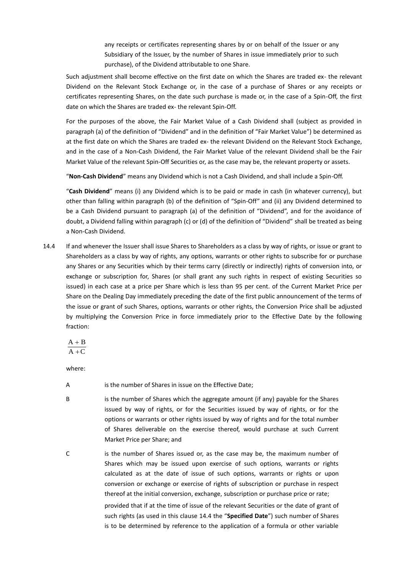any receipts or certificates representing shares by or on behalf of the Issuer or any Subsidiary of the Issuer, by the number of Shares in issue immediately prior to such purchase), of the Dividend attributable to one Share.

Such adjustment shall become effective on the first date on which the Shares are traded ex- the relevant Dividend on the Relevant Stock Exchange or, in the case of a purchase of Shares or any receipts or certificates representing Shares, on the date such purchase is made or, in the case of a Spin-Off, the first date on which the Shares are traded ex- the relevant Spin-Off.

For the purposes of the above, the Fair Market Value of a Cash Dividend shall (subject as provided in paragraph (a) of the definition of "Dividend" and in the definition of "Fair Market Value") be determined as at the first date on which the Shares are traded ex- the relevant Dividend on the Relevant Stock Exchange, and in the case of a Non-Cash Dividend, the Fair Market Value of the relevant Dividend shall be the Fair Market Value of the relevant Spin-Off Securities or, as the case may be, the relevant property or assets.

"**Non-Cash Dividend**" means any Dividend which is not a Cash Dividend, and shall include a Spin-Off.

"**Cash Dividend**" means (i) any Dividend which is to be paid or made in cash (in whatever currency), but other than falling within paragraph (b) of the definition of "Spin-Off" and (ii) any Dividend determined to be a Cash Dividend pursuant to paragraph (a) of the definition of "Dividend", and for the avoidance of doubt, a Dividend falling within paragraph (c) or (d) of the definition of "Dividend" shall be treated as being a Non-Cash Dividend.

<span id="page-19-0"></span>14.4 If and whenever the Issuer shall issue Shares to Shareholders as a class by way of rights, or issue or grant to Shareholders as a class by way of rights, any options, warrants or other rights to subscribe for or purchase any Shares or any Securities which by their terms carry (directly or indirectly) rights of conversion into, or exchange or subscription for, Shares (or shall grant any such rights in respect of existing Securities so issued) in each case at a price per Share which is less than 95 per cent. of the Current Market Price per Share on the Dealing Day immediately preceding the date of the first public announcement of the terms of the issue or grant of such Shares, options, warrants or other rights, the Conversion Price shall be adjusted by multiplying the Conversion Price in force immediately prior to the Effective Date by the following fraction:

$$
\frac{A+B}{A+C} \\
$$

where:

- A is the number of Shares in issue on the Effective Date;
- B is the number of Shares which the aggregate amount (if any) payable for the Shares issued by way of rights, or for the Securities issued by way of rights, or for the options or warrants or other rights issued by way of rights and for the total number of Shares deliverable on the exercise thereof, would purchase at such Current Market Price per Share; and
- C is the number of Shares issued or, as the case may be, the maximum number of Shares which may be issued upon exercise of such options, warrants or rights calculated as at the date of issue of such options, warrants or rights or upon conversion or exchange or exercise of rights of subscription or purchase in respect thereof at the initial conversion, exchange, subscription or purchase price or rate; provided that if at the time of issue of the relevant Securities or the date of grant of such rights (as used in this clause [14.4](#page-19-0) the "**Specified Date**") such number of Shares is to be determined by reference to the application of a formula or other variable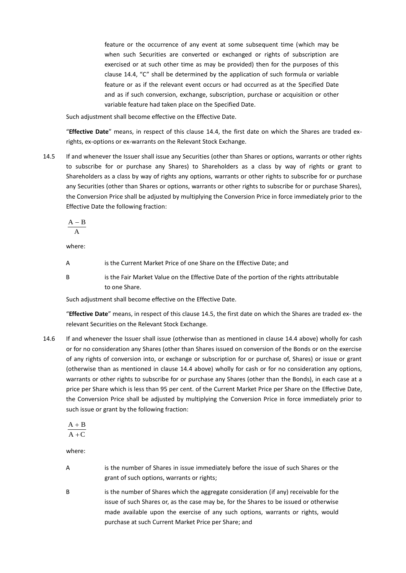feature or the occurrence of any event at some subsequent time (which may be when such Securities are converted or exchanged or rights of subscription are exercised or at such other time as may be provided) then for the purposes of this clause [14.4,](#page-19-0) "C" shall be determined by the application of such formula or variable feature or as if the relevant event occurs or had occurred as at the Specified Date and as if such conversion, exchange, subscription, purchase or acquisition or other variable feature had taken place on the Specified Date.

Such adjustment shall become effective on the Effective Date.

"**Effective Date**" means, in respect of this clause [14.4,](#page-19-0) the first date on which the Shares are traded exrights, ex-options or ex-warrants on the Relevant Stock Exchange.

<span id="page-20-1"></span>14.5 If and whenever the Issuer shall issue any Securities (other than Shares or options, warrants or other rights to subscribe for or purchase any Shares) to Shareholders as a class by way of rights or grant to Shareholders as a class by way of rights any options, warrants or other rights to subscribe for or purchase any Securities (other than Shares or options, warrants or other rights to subscribe for or purchase Shares), the Conversion Price shall be adjusted by multiplying the Conversion Price in force immediately prior to the Effective Date the following fraction:

$$
\displaystyle \frac{A-B}{A}
$$

where:

- A is the Current Market Price of one Share on the Effective Date; and
- B is the Fair Market Value on the Effective Date of the portion of the rights attributable to one Share.

Such adjustment shall become effective on the Effective Date.

"**Effective Date**" means, in respect of this clause [14.5,](#page-20-1) the first date on which the Shares are traded ex- the relevant Securities on the Relevant Stock Exchange.

<span id="page-20-0"></span>14.6 If and whenever the Issuer shall issue (otherwise than as mentioned in clause [14.4](#page-19-0) above) wholly for cash or for no consideration any Shares (other than Shares issued on conversion of the Bonds or on the exercise of any rights of conversion into, or exchange or subscription for or purchase of, Shares) or issue or grant (otherwise than as mentioned in clause [14.4](#page-19-0) above) wholly for cash or for no consideration any options, warrants or other rights to subscribe for or purchase any Shares (other than the Bonds), in each case at a price per Share which is less than 95 per cent. of the Current Market Price per Share on the Effective Date, the Conversion Price shall be adjusted by multiplying the Conversion Price in force immediately prior to such issue or grant by the following fraction:

$$
\frac{A+B}{A+C} \\
$$

where:

- A is the number of Shares in issue immediately before the issue of such Shares or the grant of such options, warrants or rights;
- B is the number of Shares which the aggregate consideration (if any) receivable for the issue of such Shares or, as the case may be, for the Shares to be issued or otherwise made available upon the exercise of any such options, warrants or rights, would purchase at such Current Market Price per Share; and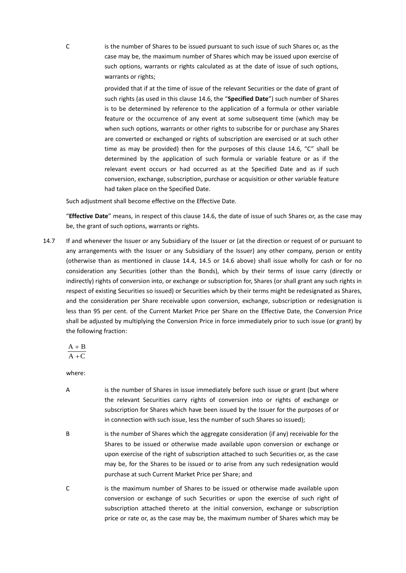C is the number of Shares to be issued pursuant to such issue of such Shares or, as the case may be, the maximum number of Shares which may be issued upon exercise of such options, warrants or rights calculated as at the date of issue of such options, warrants or rights;

> provided that if at the time of issue of the relevant Securities or the date of grant of such rights (as used in this clause [14.6,](#page-20-0) the "**Specified Date**") such number of Shares is to be determined by reference to the application of a formula or other variable feature or the occurrence of any event at some subsequent time (which may be when such options, warrants or other rights to subscribe for or purchase any Shares are converted or exchanged or rights of subscription are exercised or at such other time as may be provided) then for the purposes of this clause [14.6,](#page-20-0) "C" shall be determined by the application of such formula or variable feature or as if the relevant event occurs or had occurred as at the Specified Date and as if such conversion, exchange, subscription, purchase or acquisition or other variable feature had taken place on the Specified Date.

Such adjustment shall become effective on the Effective Date.

"**Effective Date**" means, in respect of this clause [14.6,](#page-20-0) the date of issue of such Shares or, as the case may be, the grant of such options, warrants or rights.

<span id="page-21-0"></span>14.7 If and whenever the Issuer or any Subsidiary of the Issuer or (at the direction or request of or pursuant to any arrangements with the Issuer or any Subsidiary of the Issuer) any other company, person or entity (otherwise than as mentioned in clause [14.4,](#page-19-0) [14.5](#page-20-1) or [14.6](#page-20-0) above) shall issue wholly for cash or for no consideration any Securities (other than the Bonds), which by their terms of issue carry (directly or indirectly) rights of conversion into, or exchange or subscription for, Shares (or shall grant any such rights in respect of existing Securities so issued) or Securities which by their terms might be redesignated as Shares, and the consideration per Share receivable upon conversion, exchange, subscription or redesignation is less than 95 per cent. of the Current Market Price per Share on the Effective Date, the Conversion Price shall be adjusted by multiplying the Conversion Price in force immediately prior to such issue (or grant) by the following fraction:

$$
\frac{A+B}{A+C} \\
$$

where:

- A is the number of Shares in issue immediately before such issue or grant (but where the relevant Securities carry rights of conversion into or rights of exchange or subscription for Shares which have been issued by the Issuer for the purposes of or in connection with such issue, less the number of such Shares so issued);
- B is the number of Shares which the aggregate consideration (if any) receivable for the Shares to be issued or otherwise made available upon conversion or exchange or upon exercise of the right of subscription attached to such Securities or, as the case may be, for the Shares to be issued or to arise from any such redesignation would purchase at such Current Market Price per Share; and
- C is the maximum number of Shares to be issued or otherwise made available upon conversion or exchange of such Securities or upon the exercise of such right of subscription attached thereto at the initial conversion, exchange or subscription price or rate or, as the case may be, the maximum number of Shares which may be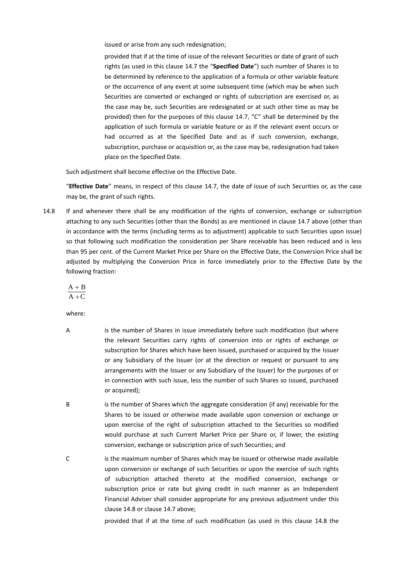issued or arise from any such redesignation;

provided that if at the time of issue of the relevant Securities or date of grant of such rights (as used in this clause [14.7](#page-21-0) the "**Specified Date**") such number of Shares is to be determined by reference to the application of a formula or other variable feature or the occurrence of any event at some subsequent time (which may be when such Securities are converted or exchanged or rights of subscription are exercised or, as the case may be, such Securities are redesignated or at such other time as may be provided) then for the purposes of this clause [14.7,](#page-21-0) "C" shall be determined by the application of such formula or variable feature or as if the relevant event occurs or had occurred as at the Specified Date and as if such conversion, exchange, subscription, purchase or acquisition or, as the case may be, redesignation had taken place on the Specified Date.

Such adjustment shall become effective on the Effective Date.

"**Effective Date**" means, in respect of this clause [14.7,](#page-21-0) the date of issue of such Securities or, as the case may be, the grant of such rights.

<span id="page-22-0"></span>14.8 If and whenever there shall be any modification of the rights of conversion, exchange or subscription attaching to any such Securities (other than the Bonds) as are mentioned in clause [14.7](#page-21-0) above (other than in accordance with the terms (including terms as to adjustment) applicable to such Securities upon issue) so that following such modification the consideration per Share receivable has been reduced and is less than 95 per cent. of the Current Market Price per Share on the Effective Date, the Conversion Price shall be adjusted by multiplying the Conversion Price in force immediately prior to the Effective Date by the following fraction:

$$
\frac{A+B}{A+C} \\
$$

where:

- A is the number of Shares in issue immediately before such modification (but where the relevant Securities carry rights of conversion into or rights of exchange or subscription for Shares which have been issued, purchased or acquired by the Issuer or any Subsidiary of the Issuer (or at the direction or request or pursuant to any arrangements with the Issuer or any Subsidiary of the Issuer) for the purposes of or in connection with such issue, less the number of such Shares so issued, purchased or acquired);
- B is the number of Shares which the aggregate consideration (if any) receivable for the Shares to be issued or otherwise made available upon conversion or exchange or upon exercise of the right of subscription attached to the Securities so modified would purchase at such Current Market Price per Share or, if lower, the existing conversion, exchange or subscription price of such Securities; and
- C is the maximum number of Shares which may be issued or otherwise made available upon conversion or exchange of such Securities or upon the exercise of such rights of subscription attached thereto at the modified conversion, exchange or subscription price or rate but giving credit in such manner as an Independent Financial Adviser shall consider appropriate for any previous adjustment under this clause [14.8](#page-22-0) or clause [14.7](#page-21-0) above;

provided that if at the time of such modification (as used in this clause [14.8](#page-22-0) the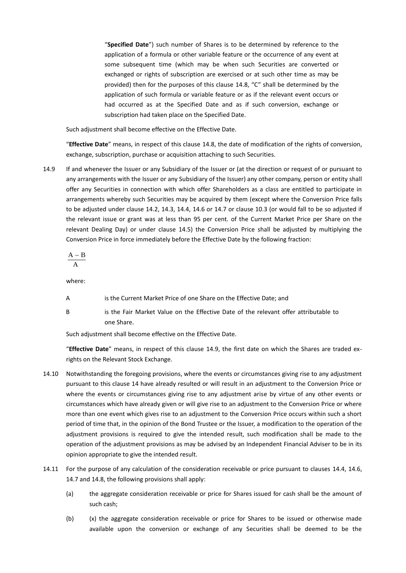"**Specified Date**") such number of Shares is to be determined by reference to the application of a formula or other variable feature or the occurrence of any event at some subsequent time (which may be when such Securities are converted or exchanged or rights of subscription are exercised or at such other time as may be provided) then for the purposes of this clause [14.8,](#page-22-0) "C" shall be determined by the application of such formula or variable feature or as if the relevant event occurs or had occurred as at the Specified Date and as if such conversion, exchange or subscription had taken place on the Specified Date.

Such adjustment shall become effective on the Effective Date.

"**Effective Date**" means, in respect of this claus[e 14.8,](#page-22-0) the date of modification of the rights of conversion, exchange, subscription, purchase or acquisition attaching to such Securities.

<span id="page-23-0"></span>14.9 If and whenever the Issuer or any Subsidiary of the Issuer or (at the direction or request of or pursuant to any arrangements with the Issuer or any Subsidiary of the Issuer) any other company, person or entity shall offer any Securities in connection with which offer Shareholders as a class are entitled to participate in arrangements whereby such Securities may be acquired by them (except where the Conversion Price falls to be adjusted under clause [14.2,](#page-18-2) [14.3,](#page-18-0) [14.4,](#page-19-0) [14.6](#page-20-0) or [14.7](#page-21-0) or clause [10.3](#page-12-2) (or would fall to be so adjusted if the relevant issue or grant was at less than 95 per cent. of the Current Market Price per Share on the relevant Dealing Day) or under clause [14.5\)](#page-20-1) the Conversion Price shall be adjusted by multiplying the Conversion Price in force immediately before the Effective Date by the following fraction:

$$
\frac{A-B}{A}
$$

where:

- A is the Current Market Price of one Share on the Effective Date; and
- 
- B is the Fair Market Value on the Effective Date of the relevant offer attributable to one Share.

Such adjustment shall become effective on the Effective Date.

"**Effective Date**" means, in respect of this clause [14.9,](#page-23-0) the first date on which the Shares are traded exrights on the Relevant Stock Exchange.

- 14.10 Notwithstanding the foregoing provisions, where the events or circumstances giving rise to any adjustment pursuant to this clause [14](#page-17-0) have already resulted or will result in an adjustment to the Conversion Price or where the events or circumstances giving rise to any adjustment arise by virtue of any other events or circumstances which have already given or will give rise to an adjustment to the Conversion Price or where more than one event which gives rise to an adjustment to the Conversion Price occurs within such a short period of time that, in the opinion of the Bond Trustee or the Issuer, a modification to the operation of the adjustment provisions is required to give the intended result, such modification shall be made to the operation of the adjustment provisions as may be advised by an Independent Financial Adviser to be in its opinion appropriate to give the intended result.
- <span id="page-23-2"></span><span id="page-23-1"></span>14.11 For the purpose of any calculation of the consideration receivable or price pursuant to clauses [14.4,](#page-19-0) [14.6,](#page-20-0) [14.7](#page-21-0) an[d 14.8,](#page-22-0) the following provisions shall apply:
	- (a) the aggregate consideration receivable or price for Shares issued for cash shall be the amount of such cash;
	- (b) (x) the aggregate consideration receivable or price for Shares to be issued or otherwise made available upon the conversion or exchange of any Securities shall be deemed to be the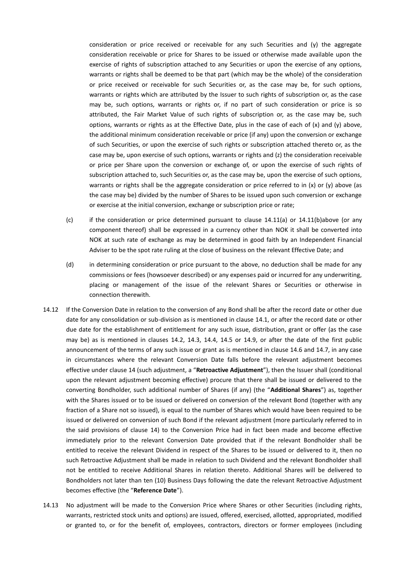consideration or price received or receivable for any such Securities and (y) the aggregate consideration receivable or price for Shares to be issued or otherwise made available upon the exercise of rights of subscription attached to any Securities or upon the exercise of any options, warrants or rights shall be deemed to be that part (which may be the whole) of the consideration or price received or receivable for such Securities or, as the case may be, for such options, warrants or rights which are attributed by the Issuer to such rights of subscription or, as the case may be, such options, warrants or rights or, if no part of such consideration or price is so attributed, the Fair Market Value of such rights of subscription or, as the case may be, such options, warrants or rights as at the Effective Date, plus in the case of each of  $(x)$  and  $(y)$  above, the additional minimum consideration receivable or price (if any) upon the conversion or exchange of such Securities, or upon the exercise of such rights or subscription attached thereto or, as the case may be, upon exercise of such options, warrants or rights and (z) the consideration receivable or price per Share upon the conversion or exchange of, or upon the exercise of such rights of subscription attached to, such Securities or, as the case may be, upon the exercise of such options, warrants or rights shall be the aggregate consideration or price referred to in (x) or (y) above (as the case may be) divided by the number of Shares to be issued upon such conversion or exchange or exercise at the initial conversion, exchange or subscription price or rate;

- (c) if the consideration or price determined pursuant to clause [14.11\(a\)](#page-23-1) or [14.11\(b\)a](#page-23-2)bove (or any component thereof) shall be expressed in a currency other than NOK it shall be converted into NOK at such rate of exchange as may be determined in good faith by an Independent Financial Adviser to be the spot rate ruling at the close of business on the relevant Effective Date; and
- (d) in determining consideration or price pursuant to the above, no deduction shall be made for any commissions or fees (howsoever described) or any expenses paid or incurred for any underwriting, placing or management of the issue of the relevant Shares or Securities or otherwise in connection therewith.
- <span id="page-24-0"></span>14.12 If the Conversion Date in relation to the conversion of any Bond shall be after the record date or other due date for any consolidation or sub-division as is mentioned in clause [14.1,](#page-18-1) or after the record date or other due date for the establishment of entitlement for any such issue, distribution, grant or offer (as the case may be) as is mentioned in clauses [14.2,](#page-18-2) [14.3,](#page-18-0) [14.4,](#page-19-0) [14.5](#page-20-1) or [14.9,](#page-23-0) or after the date of the first public announcement of the terms of any such issue or grant as is mentioned in claus[e 14.6](#page-20-0) an[d 14.7,](#page-21-0) in any case in circumstances where the relevant Conversion Date falls before the relevant adjustment becomes effective under claus[e 14](#page-17-0) (such adjustment, a "**Retroactive Adjustment**"), then the Issuer shall (conditional upon the relevant adjustment becoming effective) procure that there shall be issued or delivered to the converting Bondholder, such additional number of Shares (if any) (the "**Additional Shares**") as, together with the Shares issued or to be issued or delivered on conversion of the relevant Bond (together with any fraction of a Share not so issued), is equal to the number of Shares which would have been required to be issued or delivered on conversion of such Bond if the relevant adjustment (more particularly referred to in the said provisions of clause [14\)](#page-17-0) to the Conversion Price had in fact been made and become effective immediately prior to the relevant Conversion Date provided that if the relevant Bondholder shall be entitled to receive the relevant Dividend in respect of the Shares to be issued or delivered to it, then no such Retroactive Adjustment shall be made in relation to such Dividend and the relevant Bondholder shall not be entitled to receive Additional Shares in relation thereto. Additional Shares will be delivered to Bondholders not later than ten (10) Business Days following the date the relevant Retroactive Adjustment becomes effective (the "**Reference Date**").
- 14.13 No adjustment will be made to the Conversion Price where Shares or other Securities (including rights, warrants, restricted stock units and options) are issued, offered, exercised, allotted, appropriated, modified or granted to, or for the benefit of, employees, contractors, directors or former employees (including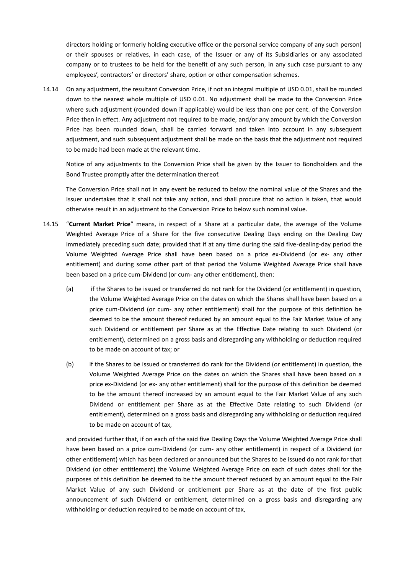directors holding or formerly holding executive office or the personal service company of any such person) or their spouses or relatives, in each case, of the Issuer or any of its Subsidiaries or any associated company or to trustees to be held for the benefit of any such person, in any such case pursuant to any employees', contractors' or directors' share, option or other compensation schemes.

14.14 On any adjustment, the resultant Conversion Price, if not an integral multiple of USD 0.01, shall be rounded down to the nearest whole multiple of USD 0.01. No adjustment shall be made to the Conversion Price where such adjustment (rounded down if applicable) would be less than one per cent. of the Conversion Price then in effect. Any adjustment not required to be made, and/or any amount by which the Conversion Price has been rounded down, shall be carried forward and taken into account in any subsequent adjustment, and such subsequent adjustment shall be made on the basis that the adjustment not required to be made had been made at the relevant time.

Notice of any adjustments to the Conversion Price shall be given by the Issuer to Bondholders and the Bond Trustee promptly after the determination thereof.

The Conversion Price shall not in any event be reduced to below the nominal value of the Shares and the Issuer undertakes that it shall not take any action, and shall procure that no action is taken, that would otherwise result in an adjustment to the Conversion Price to below such nominal value.

- <span id="page-25-0"></span>14.15 "**Current Market Price**" means, in respect of a Share at a particular date, the average of the Volume Weighted Average Price of a Share for the five consecutive Dealing Days ending on the Dealing Day immediately preceding such date; provided that if at any time during the said five-dealing-day period the Volume Weighted Average Price shall have been based on a price ex-Dividend (or ex- any other entitlement) and during some other part of that period the Volume Weighted Average Price shall have been based on a price cum-Dividend (or cum- any other entitlement), then:
	- (a) if the Shares to be issued or transferred do not rank for the Dividend (or entitlement) in question, the Volume Weighted Average Price on the dates on which the Shares shall have been based on a price cum-Dividend (or cum- any other entitlement) shall for the purpose of this definition be deemed to be the amount thereof reduced by an amount equal to the Fair Market Value of any such Dividend or entitlement per Share as at the Effective Date relating to such Dividend (or entitlement), determined on a gross basis and disregarding any withholding or deduction required to be made on account of tax; or
	- (b) if the Shares to be issued or transferred do rank for the Dividend (or entitlement) in question, the Volume Weighted Average Price on the dates on which the Shares shall have been based on a price ex-Dividend (or ex- any other entitlement) shall for the purpose of this definition be deemed to be the amount thereof increased by an amount equal to the Fair Market Value of any such Dividend or entitlement per Share as at the Effective Date relating to such Dividend (or entitlement), determined on a gross basis and disregarding any withholding or deduction required to be made on account of tax,

and provided further that, if on each of the said five Dealing Days the Volume Weighted Average Price shall have been based on a price cum-Dividend (or cum- any other entitlement) in respect of a Dividend (or other entitlement) which has been declared or announced but the Shares to be issued do not rank for that Dividend (or other entitlement) the Volume Weighted Average Price on each of such dates shall for the purposes of this definition be deemed to be the amount thereof reduced by an amount equal to the Fair Market Value of any such Dividend or entitlement per Share as at the date of the first public announcement of such Dividend or entitlement, determined on a gross basis and disregarding any withholding or deduction required to be made on account of tax,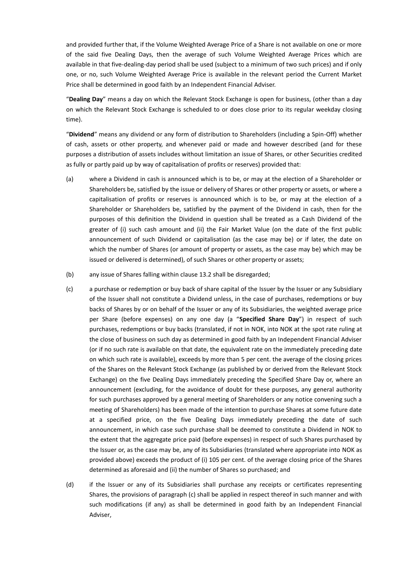and provided further that, if the Volume Weighted Average Price of a Share is not available on one or more of the said five Dealing Days, then the average of such Volume Weighted Average Prices which are available in that five-dealing-day period shall be used (subject to a minimum of two such prices) and if only one, or no, such Volume Weighted Average Price is available in the relevant period the Current Market Price shall be determined in good faith by an Independent Financial Adviser.

"**Dealing Day**" means a day on which the Relevant Stock Exchange is open for business, (other than a day on which the Relevant Stock Exchange is scheduled to or does close prior to its regular weekday closing time).

"**Dividend**" means any dividend or any form of distribution to Shareholders (including a Spin-Off) whether of cash, assets or other property, and whenever paid or made and however described (and for these purposes a distribution of assets includes without limitation an issue of Shares, or other Securities credited as fully or partly paid up by way of capitalisation of profits or reserves) provided that:

- (a) where a Dividend in cash is announced which is to be, or may at the election of a Shareholder or Shareholders be, satisfied by the issue or delivery of Shares or other property or assets, or where a capitalisation of profits or reserves is announced which is to be, or may at the election of a Shareholder or Shareholders be, satisfied by the payment of the Dividend in cash, then for the purposes of this definition the Dividend in question shall be treated as a Cash Dividend of the greater of (i) such cash amount and (ii) the Fair Market Value (on the date of the first public announcement of such Dividend or capitalisation (as the case may be) or if later, the date on which the number of Shares (or amount of property or assets, as the case may be) which may be issued or delivered is determined), of such Shares or other property or assets;
- (b) any issue of Shares falling within clause [13.2](#page-16-3) shall be disregarded;
- (c) a purchase or redemption or buy back of share capital of the Issuer by the Issuer or any Subsidiary of the Issuer shall not constitute a Dividend unless, in the case of purchases, redemptions or buy backs of Shares by or on behalf of the Issuer or any of its Subsidiaries, the weighted average price per Share (before expenses) on any one day (a "**Specified Share Day**") in respect of such purchases, redemptions or buy backs (translated, if not in NOK, into NOK at the spot rate ruling at the close of business on such day as determined in good faith by an Independent Financial Adviser (or if no such rate is available on that date, the equivalent rate on the immediately preceding date on which such rate is available), exceeds by more than 5 per cent. the average of the closing prices of the Shares on the Relevant Stock Exchange (as published by or derived from the Relevant Stock Exchange) on the five Dealing Days immediately preceding the Specified Share Day or, where an announcement (excluding, for the avoidance of doubt for these purposes, any general authority for such purchases approved by a general meeting of Shareholders or any notice convening such a meeting of Shareholders) has been made of the intention to purchase Shares at some future date at a specified price, on the five Dealing Days immediately preceding the date of such announcement, in which case such purchase shall be deemed to constitute a Dividend in NOK to the extent that the aggregate price paid (before expenses) in respect of such Shares purchased by the Issuer or, as the case may be, any of its Subsidiaries (translated where appropriate into NOK as provided above) exceeds the product of (i) 105 per cent. of the average closing price of the Shares determined as aforesaid and (ii) the number of Shares so purchased; and
- (d) if the Issuer or any of its Subsidiaries shall purchase any receipts or certificates representing Shares, the provisions of paragraph (c) shall be applied in respect thereof in such manner and with such modifications (if any) as shall be determined in good faith by an Independent Financial Adviser,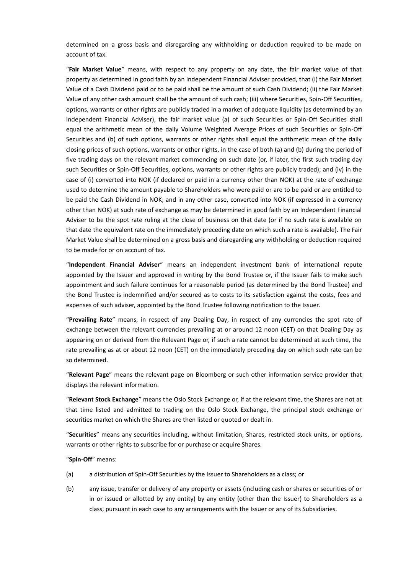determined on a gross basis and disregarding any withholding or deduction required to be made on account of tax.

"**Fair Market Value**" means, with respect to any property on any date, the fair market value of that property as determined in good faith by an Independent Financial Adviser provided, that (i) the Fair Market Value of a Cash Dividend paid or to be paid shall be the amount of such Cash Dividend; (ii) the Fair Market Value of any other cash amount shall be the amount of such cash; (iii) where Securities, Spin-Off Securities, options, warrants or other rights are publicly traded in a market of adequate liquidity (as determined by an Independent Financial Adviser), the fair market value (a) of such Securities or Spin-Off Securities shall equal the arithmetic mean of the daily Volume Weighted Average Prices of such Securities or Spin-Off Securities and (b) of such options, warrants or other rights shall equal the arithmetic mean of the daily closing prices of such options, warrants or other rights, in the case of both (a) and (b) during the period of five trading days on the relevant market commencing on such date (or, if later, the first such trading day such Securities or Spin-Off Securities, options, warrants or other rights are publicly traded); and (iv) in the case of (i) converted into NOK (if declared or paid in a currency other than NOK) at the rate of exchange used to determine the amount payable to Shareholders who were paid or are to be paid or are entitled to be paid the Cash Dividend in NOK; and in any other case, converted into NOK (if expressed in a currency other than NOK) at such rate of exchange as may be determined in good faith by an Independent Financial Adviser to be the spot rate ruling at the close of business on that date (or if no such rate is available on that date the equivalent rate on the immediately preceding date on which such a rate is available). The Fair Market Value shall be determined on a gross basis and disregarding any withholding or deduction required to be made for or on account of tax.

"**Independent Financial Adviser**" means an independent investment bank of international repute appointed by the Issuer and approved in writing by the Bond Trustee or, if the Issuer fails to make such appointment and such failure continues for a reasonable period (as determined by the Bond Trustee) and the Bond Trustee is indemnified and/or secured as to costs to its satisfaction against the costs, fees and expenses of such adviser, appointed by the Bond Trustee following notification to the Issuer.

"**Prevailing Rate**" means, in respect of any Dealing Day, in respect of any currencies the spot rate of exchange between the relevant currencies prevailing at or around 12 noon (CET) on that Dealing Day as appearing on or derived from the Relevant Page or, if such a rate cannot be determined at such time, the rate prevailing as at or about 12 noon (CET) on the immediately preceding day on which such rate can be so determined.

"**Relevant Page**" means the relevant page on Bloomberg or such other information service provider that displays the relevant information.

"**Relevant Stock Exchange**" means the Oslo Stock Exchange or, if at the relevant time, the Shares are not at that time listed and admitted to trading on the Oslo Stock Exchange, the principal stock exchange or securities market on which the Shares are then listed or quoted or dealt in.

"**Securities**" means any securities including, without limitation, Shares, restricted stock units, or options, warrants or other rights to subscribe for or purchase or acquire Shares.

"**Spin-Off**" means:

- (a) a distribution of Spin-Off Securities by the Issuer to Shareholders as a class; or
- (b) any issue, transfer or delivery of any property or assets (including cash or shares or securities of or in or issued or allotted by any entity) by any entity (other than the Issuer) to Shareholders as a class, pursuant in each case to any arrangements with the Issuer or any of its Subsidiaries.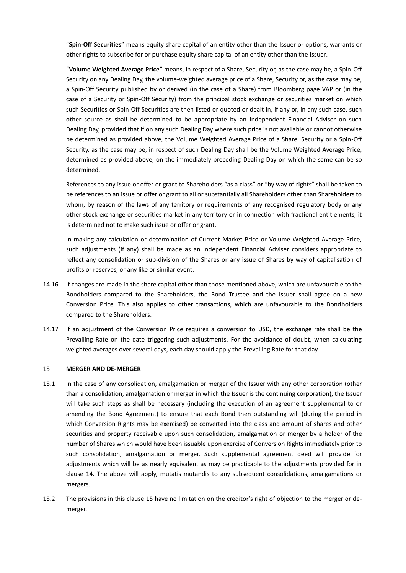"**Spin-Off Securities**" means equity share capital of an entity other than the Issuer or options, warrants or other rights to subscribe for or purchase equity share capital of an entity other than the Issuer.

"**Volume Weighted Average Price**" means, in respect of a Share, Security or, as the case may be, a Spin-Off Security on any Dealing Day, the volume-weighted average price of a Share, Security or, as the case may be, a Spin-Off Security published by or derived (in the case of a Share) from Bloomberg page VAP or (in the case of a Security or Spin-Off Security) from the principal stock exchange or securities market on which such Securities or Spin-Off Securities are then listed or quoted or dealt in, if any or, in any such case, such other source as shall be determined to be appropriate by an Independent Financial Adviser on such Dealing Day, provided that if on any such Dealing Day where such price is not available or cannot otherwise be determined as provided above, the Volume Weighted Average Price of a Share, Security or a Spin-Off Security, as the case may be, in respect of such Dealing Day shall be the Volume Weighted Average Price, determined as provided above, on the immediately preceding Dealing Day on which the same can be so determined.

References to any issue or offer or grant to Shareholders "as a class" or "by way of rights" shall be taken to be references to an issue or offer or grant to all or substantially all Shareholders other than Shareholders to whom, by reason of the laws of any territory or requirements of any recognised regulatory body or any other stock exchange or securities market in any territory or in connection with fractional entitlements, it is determined not to make such issue or offer or grant.

In making any calculation or determination of Current Market Price or Volume Weighted Average Price, such adjustments (if any) shall be made as an Independent Financial Adviser considers appropriate to reflect any consolidation or sub-division of the Shares or any issue of Shares by way of capitalisation of profits or reserves, or any like or similar event.

- 14.16 If changes are made in the share capital other than those mentioned above, which are unfavourable to the Bondholders compared to the Shareholders, the Bond Trustee and the Issuer shall agree on a new Conversion Price. This also applies to other transactions, which are unfavourable to the Bondholders compared to the Shareholders.
- 14.17 If an adjustment of the Conversion Price requires a conversion to USD, the exchange rate shall be the Prevailing Rate on the date triggering such adjustments. For the avoidance of doubt, when calculating weighted averages over several days, each day should apply the Prevailing Rate for that day.

### <span id="page-28-0"></span>15 **MERGER AND DE-MERGER**

- 15.1 In the case of any consolidation, amalgamation or merger of the Issuer with any other corporation (other than a consolidation, amalgamation or merger in which the Issuer is the continuing corporation), the Issuer will take such steps as shall be necessary (including the execution of an agreement supplemental to or amending the Bond Agreement) to ensure that each Bond then outstanding will (during the period in which Conversion Rights may be exercised) be converted into the class and amount of shares and other securities and property receivable upon such consolidation, amalgamation or merger by a holder of the number of Shares which would have been issuable upon exercise of Conversion Rights immediately prior to such consolidation, amalgamation or merger. Such supplemental agreement deed will provide for adjustments which will be as nearly equivalent as may be practicable to the adjustments provided for in clause [14.](#page-17-0) The above will apply, mutatis mutandis to any subsequent consolidations, amalgamations or mergers.
- 15.2 The provisions in this clause [15](#page-28-0) have no limitation on the creditor's right of objection to the merger or demerger.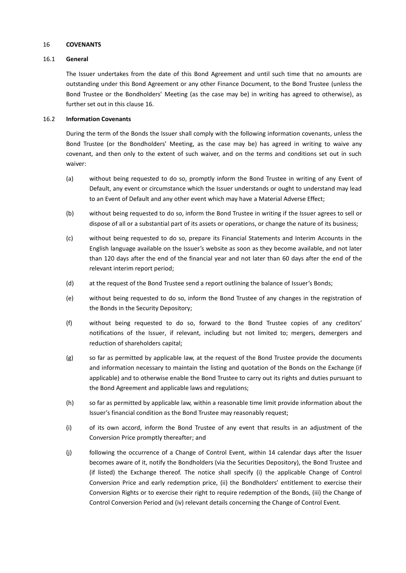#### <span id="page-29-1"></span>16 **COVENANTS**

### 16.1 **General**

The Issuer undertakes from the date of this Bond Agreement and until such time that no amounts are outstanding under this Bond Agreement or any other Finance Document, to the Bond Trustee (unless the Bond Trustee or the Bondholders' Meeting (as the case may be) in writing has agreed to otherwise), as further set out in this clause [16.](#page-29-1)

# 16.2 **Information Covenants**

During the term of the Bonds the Issuer shall comply with the following information covenants, unless the Bond Trustee (or the Bondholders' Meeting, as the case may be) has agreed in writing to waive any covenant, and then only to the extent of such waiver, and on the terms and conditions set out in such waiver:

- (a) without being requested to do so, promptly inform the Bond Trustee in writing of any Event of Default, any event or circumstance which the Issuer understands or ought to understand may lead to an Event of Default and any other event which may have a Material Adverse Effect;
- (b) without being requested to do so, inform the Bond Trustee in writing if the Issuer agrees to sell or dispose of all or a substantial part of its assets or operations, or change the nature of its business;
- (c) without being requested to do so, prepare its Financial Statements and Interim Accounts in the English language available on the Issuer's website as soon as they become available, and not later than 120 days after the end of the financial year and not later than 60 days after the end of the relevant interim report period;
- (d) at the request of the Bond Trustee send a report outlining the balance of Issuer's Bonds;
- (e) without being requested to do so, inform the Bond Trustee of any changes in the registration of the Bonds in the Security Depository;
- (f) without being requested to do so, forward to the Bond Trustee copies of any creditors' notifications of the Issuer, if relevant, including but not limited to; mergers, demergers and reduction of shareholders capital;
- (g) so far as permitted by applicable law, at the request of the Bond Trustee provide the documents and information necessary to maintain the listing and quotation of the Bonds on the Exchange (if applicable) and to otherwise enable the Bond Trustee to carry out its rights and duties pursuant to the Bond Agreement and applicable laws and regulations;
- (h) so far as permitted by applicable law, within a reasonable time limit provide information about the Issuer's financial condition as the Bond Trustee may reasonably request;
- (i) of its own accord, inform the Bond Trustee of any event that results in an adjustment of the Conversion Price promptly thereafter; and
- <span id="page-29-0"></span>(j) following the occurrence of a Change of Control Event, within 14 calendar days after the Issuer becomes aware of it, notify the Bondholders (via the Securities Depository), the Bond Trustee and (if listed) the Exchange thereof. The notice shall specify (i) the applicable Change of Control Conversion Price and early redemption price, (ii) the Bondholders' entitlement to exercise their Conversion Rights or to exercise their right to require redemption of the Bonds, (iii) the Change of Control Conversion Period and (iv) relevant details concerning the Change of Control Event.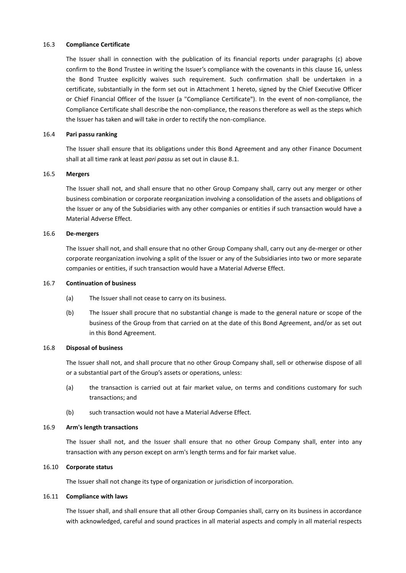### <span id="page-30-0"></span>16.3 **Compliance Certificate**

The Issuer shall in connection with the publication of its financial reports under paragraphs (c) above confirm to the Bond Trustee in writing the Issuer's compliance with the covenants in this clause [16,](#page-29-1) unless the Bond Trustee explicitly waives such requirement. Such confirmation shall be undertaken in a certificate, substantially in the form set out in Attachment 1 hereto, signed by the Chief Executive Officer or Chief Financial Officer of the Issuer (a "Compliance Certificate"). In the event of non-compliance, the Compliance Certificate shall describe the non-compliance, the reasons therefore as well as the steps which the Issuer has taken and will take in order to rectify the non-compliance.

# 16.4 **Pari passu ranking**

The Issuer shall ensure that its obligations under this Bond Agreement and any other Finance Document shall at all time rank at least *pari passu* as set out in claus[e 8.1.](#page-11-3)

### 16.5 **Mergers**

The Issuer shall not, and shall ensure that no other Group Company shall, carry out any merger or other business combination or corporate reorganization involving a consolidation of the assets and obligations of the Issuer or any of the Subsidiaries with any other companies or entities if such transaction would have a Material Adverse Effect.

### 16.6 **De-mergers**

The Issuer shall not, and shall ensure that no other Group Company shall, carry out any de-merger or other corporate reorganization involving a split of the Issuer or any of the Subsidiaries into two or more separate companies or entities, if such transaction would have a Material Adverse Effect.

### 16.7 **Continuation of business**

- (a) The Issuer shall not cease to carry on its business.
- (b) The Issuer shall procure that no substantial change is made to the general nature or scope of the business of the Group from that carried on at the date of this Bond Agreement, and/or as set out in this Bond Agreement.

# 16.8 **Disposal of business**

The Issuer shall not, and shall procure that no other Group Company shall, sell or otherwise dispose of all or a substantial part of the Group's assets or operations, unless:

- (a) the transaction is carried out at fair market value, on terms and conditions customary for such transactions; and
- (b) such transaction would not have a Material Adverse Effect.

#### 16.9 **Arm's length transactions**

The Issuer shall not, and the Issuer shall ensure that no other Group Company shall, enter into any transaction with any person except on arm's length terms and for fair market value.

# 16.10 **Corporate status**

The Issuer shall not change its type of organization or jurisdiction of incorporation.

#### 16.11 **Compliance with laws**

The Issuer shall, and shall ensure that all other Group Companies shall, carry on its business in accordance with acknowledged, careful and sound practices in all material aspects and comply in all material respects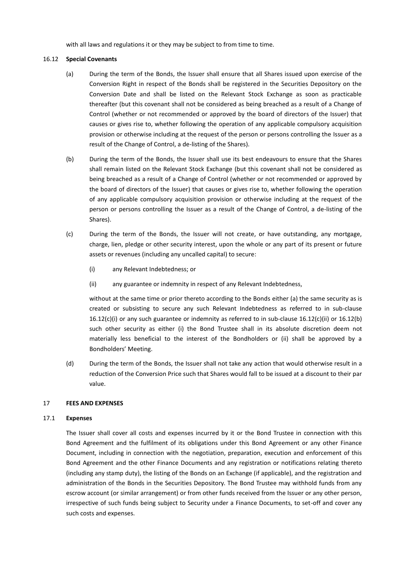with all laws and regulations it or they may be subject to from time to time.

# 16.12 **Special Covenants**

- (a) During the term of the Bonds, the Issuer shall ensure that all Shares issued upon exercise of the Conversion Right in respect of the Bonds shall be registered in the Securities Depository on the Conversion Date and shall be listed on the Relevant Stock Exchange as soon as practicable thereafter (but this covenant shall not be considered as being breached as a result of a Change of Control (whether or not recommended or approved by the board of directors of the Issuer) that causes or gives rise to, whether following the operation of any applicable compulsory acquisition provision or otherwise including at the request of the person or persons controlling the Issuer as a result of the Change of Control, a de-listing of the Shares).
- <span id="page-31-2"></span>(b) During the term of the Bonds, the Issuer shall use its best endeavours to ensure that the Shares shall remain listed on the Relevant Stock Exchange (but this covenant shall not be considered as being breached as a result of a Change of Control (whether or not recommended or approved by the board of directors of the Issuer) that causes or gives rise to, whether following the operation of any applicable compulsory acquisition provision or otherwise including at the request of the person or persons controlling the Issuer as a result of the Change of Control, a de-listing of the Shares).
- <span id="page-31-0"></span>(c) During the term of the Bonds, the Issuer will not create, or have outstanding, any mortgage, charge, lien, pledge or other security interest, upon the whole or any part of its present or future assets or revenues (including any uncalled capital) to secure:
	- (i) any Relevant Indebtedness; or
	- (ii) any guarantee or indemnity in respect of any Relevant Indebtedness,

<span id="page-31-1"></span>without at the same time or prior thereto according to the Bonds either (a) the same security as is created or subsisting to secure any such Relevant Indebtedness as referred to in sub-clause [16.12\(c\)\(i\)](#page-31-0) or any such guarantee or indemnity as referred to in sub-clause [16.12\(c\)\(ii\)](#page-31-1) or [16.12\(b\)](#page-31-2) such other security as either (i) the Bond Trustee shall in its absolute discretion deem not materially less beneficial to the interest of the Bondholders or (ii) shall be approved by a Bondholders' Meeting.

(d) During the term of the Bonds, the Issuer shall not take any action that would otherwise result in a reduction of the Conversion Price such that Shares would fall to be issued at a discount to their par value.

# <span id="page-31-3"></span>17 **FEES AND EXPENSES**

#### 17.1 **Expenses**

The Issuer shall cover all costs and expenses incurred by it or the Bond Trustee in connection with this Bond Agreement and the fulfilment of its obligations under this Bond Agreement or any other Finance Document, including in connection with the negotiation, preparation, execution and enforcement of this Bond Agreement and the other Finance Documents and any registration or notifications relating thereto (including any stamp duty), the listing of the Bonds on an Exchange (if applicable), and the registration and administration of the Bonds in the Securities Depository. The Bond Trustee may withhold funds from any escrow account (or similar arrangement) or from other funds received from the Issuer or any other person, irrespective of such funds being subject to Security under a Finance Documents, to set-off and cover any such costs and expenses.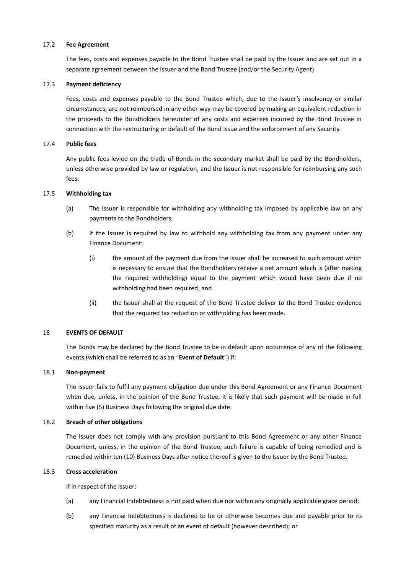### <span id="page-32-1"></span>17.2 **Fee Agreement**

The fees, costs and expenses payable to the Bond Trustee shall be paid by the Issuer and are set out in a separate agreement between the Issuer and the Bond Trustee (and/or the Security Agent).

### 17.3 **Payment deficiency**

Fees, costs and expenses payable to the Bond Trustee which, due to the Issuer's insolvency or similar circumstances, are not reimbursed in any other way may be covered by making an equivalent reduction in the proceeds to the Bondholders hereunder of any costs and expenses incurred by the Bond Trustee in connection with the restructuring or default of the Bond Issue and the enforcement of any Security.

### 17.4 **Public fees**

Any public fees levied on the trade of Bonds in the secondary market shall be paid by the Bondholders, unless otherwise provided by law or regulation, and the Issuer is not responsible for reimbursing any such fees.

### 17.5 **Withholding tax**

- (a) The Issuer is responsible for withholding any withholding tax imposed by applicable law on any payments to the Bondholders.
- (b) If the Issuer is required by law to withhold any withholding tax from any payment under any Finance Document:
	- (i) the amount of the payment due from the Issuer shall be increased to such amount which is necessary to ensure that the Bondholders receive a net amount which is (after making the required withholding) equal to the payment which would have been due if no withholding had been required; and
	- (ii) the Issuer shall at the request of the Bond Trustee deliver to the Bond Trustee evidence that the required tax reduction or withholding has been made.

# <span id="page-32-0"></span>18 **EVENTS OF DEFAULT**

The Bonds may be declared by the Bond Trustee to be in default upon occurrence of any of the following events (which shall be referred to as an "**Event of Default**") if:

### <span id="page-32-2"></span>18.1 **Non-payment**

The Issuer fails to fulfil any payment obligation due under this Bond Agreement or any Finance Document when due, unless, in the opinion of the Bond Trustee, it is likely that such payment will be made in full within five (5) Business Days following the original due date.

### 18.2 **Breach of other obligations**

The Issuer does not comply with any provision pursuant to this Bond Agreement or any other Finance Document, unless, in the opinion of the Bond Trustee, such failure is capable of being remedied and is remedied within ten (10) Business Days after notice thereof is given to the Issuer by the Bond Trustee.

# 18.3 **Cross acceleration**

If in respect of the Issuer:

- (a) any Financial Indebtedness is not paid when due nor within any originally applicable grace period;
- (b) any Financial Indebtedness is declared to be or otherwise becomes due and payable prior to its specified maturity as a result of an event of default (however described); or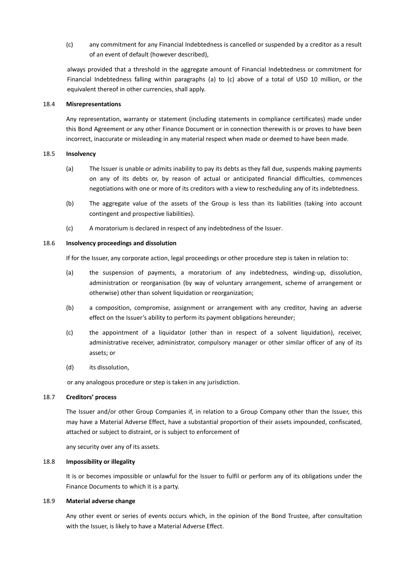(c) any commitment for any Financial Indebtedness is cancelled or suspended by a creditor as a result of an event of default (however described),

always provided that a threshold in the aggregate amount of Financial Indebtedness or commitment for Financial Indebtedness falling within paragraphs (a) to (c) above of a total of USD 10 million, or the equivalent thereof in other currencies, shall apply.

### 18.4 **Misrepresentations**

Any representation, warranty or statement (including statements in compliance certificates) made under this Bond Agreement or any other Finance Document or in connection therewith is or proves to have been incorrect, inaccurate or misleading in any material respect when made or deemed to have been made.

#### 18.5 **Insolvency**

- (a) The Issuer is unable or admits inability to pay its debts as they fall due, suspends making payments on any of its debts or, by reason of actual or anticipated financial difficulties, commences negotiations with one or more of its creditors with a view to rescheduling any of its indebtedness.
- (b) The aggregate value of the assets of the Group is less than its liabilities (taking into account contingent and prospective liabilities).
- (c) A moratorium is declared in respect of any indebtedness of the Issuer.

# 18.6 **Insolvency proceedings and dissolution**

If for the Issuer, any corporate action, legal proceedings or other procedure step is taken in relation to:

- (a) the suspension of payments, a moratorium of any indebtedness, winding-up, dissolution, administration or reorganisation (by way of voluntary arrangement, scheme of arrangement or otherwise) other than solvent liquidation or reorganization;
- (b) a composition, compromise, assignment or arrangement with any creditor, having an adverse effect on the Issuer's ability to perform its payment obligations hereunder;
- (c) the appointment of a liquidator (other than in respect of a solvent liquidation), receiver, administrative receiver, administrator, compulsory manager or other similar officer of any of its assets; or
- (d) its dissolution,

or any analogous procedure or step is taken in any jurisdiction.

# 18.7 **Creditors' process**

The Issuer and/or other Group Companies if, in relation to a Group Company other than the Issuer, this may have a Material Adverse Effect, have a substantial proportion of their assets impounded, confiscated, attached or subject to distraint, or is subject to enforcement of

any security over any of its assets.

# 18.8 **Impossibility or illegality**

It is or becomes impossible or unlawful for the Issuer to fulfil or perform any of its obligations under the Finance Documents to which it is a party.

# <span id="page-33-0"></span>18.9 **Material adverse change**

Any other event or series of events occurs which, in the opinion of the Bond Trustee, after consultation with the Issuer, is likely to have a Material Adverse Effect.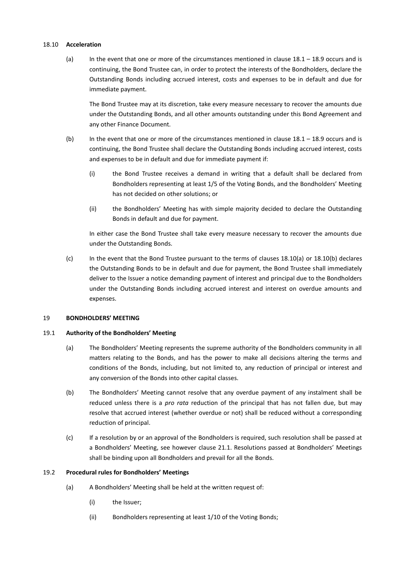### <span id="page-34-2"></span><span id="page-34-1"></span>18.10 **Acceleration**

(a) In the event that one or more of the circumstances mentioned in clause  $18.1 - 18.9$  $18.1 - 18.9$  occurs and is continuing, the Bond Trustee can, in order to protect the interests of the Bondholders, declare the Outstanding Bonds including accrued interest, costs and expenses to be in default and due for immediate payment.

The Bond Trustee may at its discretion, take every measure necessary to recover the amounts due under the Outstanding Bonds, and all other amounts outstanding under this Bond Agreement and any other Finance Document.

- <span id="page-34-4"></span><span id="page-34-3"></span>(b) In the event that one or more of the circumstances mentioned in clause [18.1](#page-32-2) – [18.9](#page-33-0) occurs and is continuing, the Bond Trustee shall declare the Outstanding Bonds including accrued interest, costs and expenses to be in default and due for immediate payment if:
	- (i) the Bond Trustee receives a demand in writing that a default shall be declared from Bondholders representing at least 1/5 of the Voting Bonds, and the Bondholders' Meeting has not decided on other solutions; or
	- (ii) the Bondholders' Meeting has with simple majority decided to declare the Outstanding Bonds in default and due for payment.

In either case the Bond Trustee shall take every measure necessary to recover the amounts due under the Outstanding Bonds.

(c) In the event that the Bond Trustee pursuant to the terms of clauses [18.10\(a\)](#page-34-2) or [18.10\(b\)](#page-34-3) declares the Outstanding Bonds to be in default and due for payment, the Bond Trustee shall immediately deliver to the Issuer a notice demanding payment of interest and principal due to the Bondholders under the Outstanding Bonds including accrued interest and interest on overdue amounts and expenses.

# <span id="page-34-0"></span>19 **BONDHOLDERS' MEETING**

#### 19.1 **Authority of the Bondholders' Meeting**

- (a) The Bondholders' Meeting represents the supreme authority of the Bondholders community in all matters relating to the Bonds, and has the power to make all decisions altering the terms and conditions of the Bonds, including, but not limited to, any reduction of principal or interest and any conversion of the Bonds into other capital classes.
- (b) The Bondholders' Meeting cannot resolve that any overdue payment of any instalment shall be reduced unless there is a *pro rata* reduction of the principal that has not fallen due, but may resolve that accrued interest (whether overdue or not) shall be reduced without a corresponding reduction of principal.
- (c) If a resolution by or an approval of the Bondholders is required, such resolution shall be passed at a Bondholders' Meeting, see however clause [21.1.](#page-38-0) Resolutions passed at Bondholders' Meetings shall be binding upon all Bondholders and prevail for all the Bonds.

# <span id="page-34-5"></span>19.2 **Procedural rules for Bondholders' Meetings**

- (a) A Bondholders' Meeting shall be held at the written request of:
	- (i) the Issuer;
	- (ii) Bondholders representing at least 1/10 of the Voting Bonds;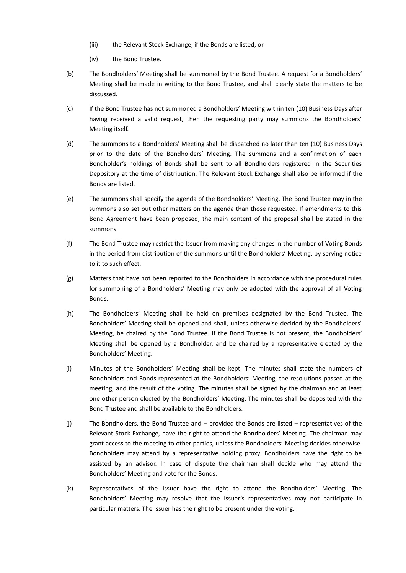- (iii) the Relevant Stock Exchange, if the Bonds are listed; or
- (iv) the Bond Trustee.
- (b) The Bondholders' Meeting shall be summoned by the Bond Trustee. A request for a Bondholders' Meeting shall be made in writing to the Bond Trustee, and shall clearly state the matters to be discussed.
- (c) If the Bond Trustee has not summoned a Bondholders' Meeting within ten (10) Business Days after having received a valid request, then the requesting party may summons the Bondholders' Meeting itself.
- (d) The summons to a Bondholders' Meeting shall be dispatched no later than ten (10) Business Days prior to the date of the Bondholders' Meeting. The summons and a confirmation of each Bondholder's holdings of Bonds shall be sent to all Bondholders registered in the Securities Depository at the time of distribution. The Relevant Stock Exchange shall also be informed if the Bonds are listed.
- (e) The summons shall specify the agenda of the Bondholders' Meeting. The Bond Trustee may in the summons also set out other matters on the agenda than those requested. If amendments to this Bond Agreement have been proposed, the main content of the proposal shall be stated in the summons.
- (f) The Bond Trustee may restrict the Issuer from making any changes in the number of Voting Bonds in the period from distribution of the summons until the Bondholders' Meeting, by serving notice to it to such effect.
- (g) Matters that have not been reported to the Bondholders in accordance with the procedural rules for summoning of a Bondholders' Meeting may only be adopted with the approval of all Voting Bonds.
- (h) The Bondholders' Meeting shall be held on premises designated by the Bond Trustee. The Bondholders' Meeting shall be opened and shall, unless otherwise decided by the Bondholders' Meeting, be chaired by the Bond Trustee. If the Bond Trustee is not present, the Bondholders' Meeting shall be opened by a Bondholder, and be chaired by a representative elected by the Bondholders' Meeting.
- (i) Minutes of the Bondholders' Meeting shall be kept. The minutes shall state the numbers of Bondholders and Bonds represented at the Bondholders' Meeting, the resolutions passed at the meeting, and the result of the voting. The minutes shall be signed by the chairman and at least one other person elected by the Bondholders' Meeting. The minutes shall be deposited with the Bond Trustee and shall be available to the Bondholders.
- (j) The Bondholders, the Bond Trustee and provided the Bonds are listed representatives of the Relevant Stock Exchange, have the right to attend the Bondholders' Meeting. The chairman may grant access to the meeting to other parties, unless the Bondholders' Meeting decides otherwise. Bondholders may attend by a representative holding proxy. Bondholders have the right to be assisted by an advisor. In case of dispute the chairman shall decide who may attend the Bondholders' Meeting and vote for the Bonds.
- (k) Representatives of the Issuer have the right to attend the Bondholders' Meeting. The Bondholders' Meeting may resolve that the Issuer's representatives may not participate in particular matters. The Issuer has the right to be present under the voting.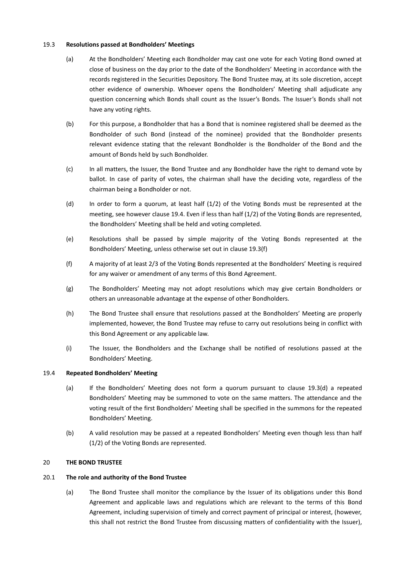# 19.3 **Resolutions passed at Bondholders' Meetings**

- (a) At the Bondholders' Meeting each Bondholder may cast one vote for each Voting Bond owned at close of business on the day prior to the date of the Bondholders' Meeting in accordance with the records registered in the Securities Depository. The Bond Trustee may, at its sole discretion, accept other evidence of ownership. Whoever opens the Bondholders' Meeting shall adjudicate any question concerning which Bonds shall count as the Issuer's Bonds. The Issuer's Bonds shall not have any voting rights.
- (b) For this purpose, a Bondholder that has a Bond that is nominee registered shall be deemed as the Bondholder of such Bond (instead of the nominee) provided that the Bondholder presents relevant evidence stating that the relevant Bondholder is the Bondholder of the Bond and the amount of Bonds held by such Bondholder.
- (c) In all matters, the Issuer, the Bond Trustee and any Bondholder have the right to demand vote by ballot. In case of parity of votes, the chairman shall have the deciding vote, regardless of the chairman being a Bondholder or not.
- <span id="page-36-2"></span>(d) In order to form a quorum, at least half (1/2) of the Voting Bonds must be represented at the meeting, see however clause [19.4.](#page-36-0) Even if less than half (1/2) of the Voting Bonds are represented, the Bondholders' Meeting shall be held and voting completed.
- <span id="page-36-4"></span>(e) Resolutions shall be passed by simple majority of the Voting Bonds represented at the Bondholders' Meeting, unless otherwise set out in clause [19.3\(f\)](#page-36-1)
- <span id="page-36-1"></span>(f) A majority of at least 2/3 of the Voting Bonds represented at the Bondholders' Meeting is required for any waiver or amendment of any terms of this Bond Agreement.
- (g) The Bondholders' Meeting may not adopt resolutions which may give certain Bondholders or others an unreasonable advantage at the expense of other Bondholders.
- (h) The Bond Trustee shall ensure that resolutions passed at the Bondholders' Meeting are properly implemented, however, the Bond Trustee may refuse to carry out resolutions being in conflict with this Bond Agreement or any applicable law.
- (i) The Issuer, the Bondholders and the Exchange shall be notified of resolutions passed at the Bondholders' Meeting.

#### <span id="page-36-0"></span>19.4 **Repeated Bondholders' Meeting**

- (a) If the Bondholders' Meeting does not form a quorum pursuant to clause [19.3\(d\)](#page-36-2) a repeated Bondholders' Meeting may be summoned to vote on the same matters. The attendance and the voting result of the first Bondholders' Meeting shall be specified in the summons for the repeated Bondholders' Meeting.
- (b) A valid resolution may be passed at a repeated Bondholders' Meeting even though less than half (1/2) of the Voting Bonds are represented.

# 20 **THE BOND TRUSTEE**

# <span id="page-36-3"></span>20.1 **The role and authority of the Bond Trustee**

(a) The Bond Trustee shall monitor the compliance by the Issuer of its obligations under this Bond Agreement and applicable laws and regulations which are relevant to the terms of this Bond Agreement, including supervision of timely and correct payment of principal or interest, (however, this shall not restrict the Bond Trustee from discussing matters of confidentiality with the Issuer),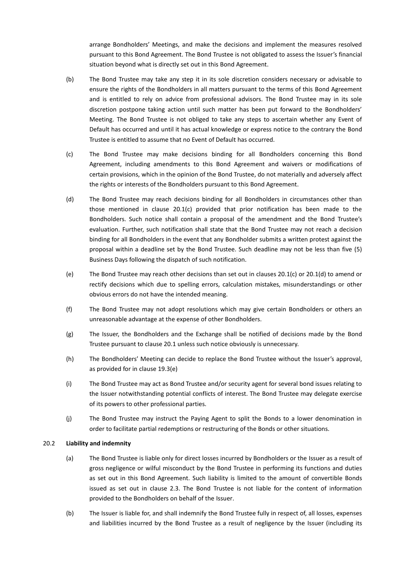arrange Bondholders' Meetings, and make the decisions and implement the measures resolved pursuant to this Bond Agreement. The Bond Trustee is not obligated to assess the Issuer's financial situation beyond what is directly set out in this Bond Agreement.

- (b) The Bond Trustee may take any step it in its sole discretion considers necessary or advisable to ensure the rights of the Bondholders in all matters pursuant to the terms of this Bond Agreement and is entitled to rely on advice from professional advisors. The Bond Trustee may in its sole discretion postpone taking action until such matter has been put forward to the Bondholders' Meeting. The Bond Trustee is not obliged to take any steps to ascertain whether any Event of Default has occurred and until it has actual knowledge or express notice to the contrary the Bond Trustee is entitled to assume that no Event of Default has occurred.
- <span id="page-37-0"></span>(c) The Bond Trustee may make decisions binding for all Bondholders concerning this Bond Agreement, including amendments to this Bond Agreement and waivers or modifications of certain provisions, which in the opinion of the Bond Trustee, do not materially and adversely affect the rights or interests of the Bondholders pursuant to this Bond Agreement.
- <span id="page-37-1"></span>(d) The Bond Trustee may reach decisions binding for all Bondholders in circumstances other than those mentioned in clause [20.1\(c\)](#page-37-0) provided that prior notification has been made to the Bondholders. Such notice shall contain a proposal of the amendment and the Bond Trustee's evaluation. Further, such notification shall state that the Bond Trustee may not reach a decision binding for all Bondholders in the event that any Bondholder submits a written protest against the proposal within a deadline set by the Bond Trustee. Such deadline may not be less than five (5) Business Days following the dispatch of such notification.
- (e) The Bond Trustee may reach other decisions than set out in clause[s 20.1\(c\)](#page-37-0) or [20.1\(d\)](#page-37-1) to amend or rectify decisions which due to spelling errors, calculation mistakes, misunderstandings or other obvious errors do not have the intended meaning.
- (f) The Bond Trustee may not adopt resolutions which may give certain Bondholders or others an unreasonable advantage at the expense of other Bondholders.
- (g) The Issuer, the Bondholders and the Exchange shall be notified of decisions made by the Bond Trustee pursuant to claus[e 20.1](#page-36-3) unless such notice obviously is unnecessary.
- (h) The Bondholders' Meeting can decide to replace the Bond Trustee without the Issuer's approval, as provided for in claus[e 19.3\(e\)](#page-36-4)
- (i) The Bond Trustee may act as Bond Trustee and/or security agent for several bond issues relating to the Issuer notwithstanding potential conflicts of interest. The Bond Trustee may delegate exercise of its powers to other professional parties.
- (j) The Bond Trustee may instruct the Paying Agent to split the Bonds to a lower denomination in order to facilitate partial redemptions or restructuring of the Bonds or other situations.

# 20.2 **Liability and indemnity**

- (a) The Bond Trustee is liable only for direct losses incurred by Bondholders or the Issuer as a result of gross negligence or wilful misconduct by the Bond Trustee in performing its functions and duties as set out in this Bond Agreement. Such liability is limited to the amount of convertible Bonds issued as set out in clause [2.3.](#page-7-0) The Bond Trustee is not liable for the content of information provided to the Bondholders on behalf of the Issuer.
- (b) The Issuer is liable for, and shall indemnify the Bond Trustee fully in respect of, all losses, expenses and liabilities incurred by the Bond Trustee as a result of negligence by the Issuer (including its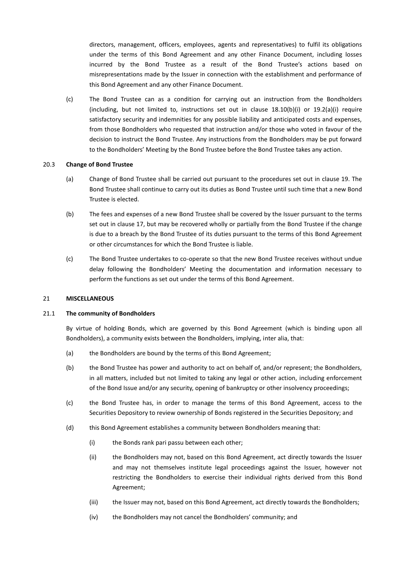directors, management, officers, employees, agents and representatives) to fulfil its obligations under the terms of this Bond Agreement and any other Finance Document, including losses incurred by the Bond Trustee as a result of the Bond Trustee's actions based on misrepresentations made by the Issuer in connection with the establishment and performance of this Bond Agreement and any other Finance Document.

(c) The Bond Trustee can as a condition for carrying out an instruction from the Bondholders (including, but not limited to, instructions set out in clause  $18.10(b)(i)$  or  $19.2(a)(i)$  require satisfactory security and indemnities for any possible liability and anticipated costs and expenses, from those Bondholders who requested that instruction and/or those who voted in favour of the decision to instruct the Bond Trustee. Any instructions from the Bondholders may be put forward to the Bondholders' Meeting by the Bond Trustee before the Bond Trustee takes any action.

# 20.3 **Change of Bond Trustee**

- (a) Change of Bond Trustee shall be carried out pursuant to the procedures set out in clause [19.](#page-34-0) The Bond Trustee shall continue to carry out its duties as Bond Trustee until such time that a new Bond Trustee is elected.
- (b) The fees and expenses of a new Bond Trustee shall be covered by the Issuer pursuant to the terms set out in clause [17,](#page-31-3) but may be recovered wholly or partially from the Bond Trustee if the change is due to a breach by the Bond Trustee of its duties pursuant to the terms of this Bond Agreement or other circumstances for which the Bond Trustee is liable.
- (c) The Bond Trustee undertakes to co-operate so that the new Bond Trustee receives without undue delay following the Bondholders' Meeting the documentation and information necessary to perform the functions as set out under the terms of this Bond Agreement.

# 21 **MISCELLANEOUS**

#### <span id="page-38-0"></span>21.1 **The community of Bondholders**

By virtue of holding Bonds, which are governed by this Bond Agreement (which is binding upon all Bondholders), a community exists between the Bondholders, implying, inter alia, that:

- (a) the Bondholders are bound by the terms of this Bond Agreement;
- (b) the Bond Trustee has power and authority to act on behalf of, and/or represent; the Bondholders, in all matters, included but not limited to taking any legal or other action, including enforcement of the Bond Issue and/or any security, opening of bankruptcy or other insolvency proceedings;
- (c) the Bond Trustee has, in order to manage the terms of this Bond Agreement, access to the Securities Depository to review ownership of Bonds registered in the Securities Depository; and
- (d) this Bond Agreement establishes a community between Bondholders meaning that:
	- (i) the Bonds rank pari passu between each other;
	- (ii) the Bondholders may not, based on this Bond Agreement, act directly towards the Issuer and may not themselves institute legal proceedings against the Issuer, however not restricting the Bondholders to exercise their individual rights derived from this Bond Agreement;
	- (iii) the Issuer may not, based on this Bond Agreement, act directly towards the Bondholders;
	- (iv) the Bondholders may not cancel the Bondholders' community; and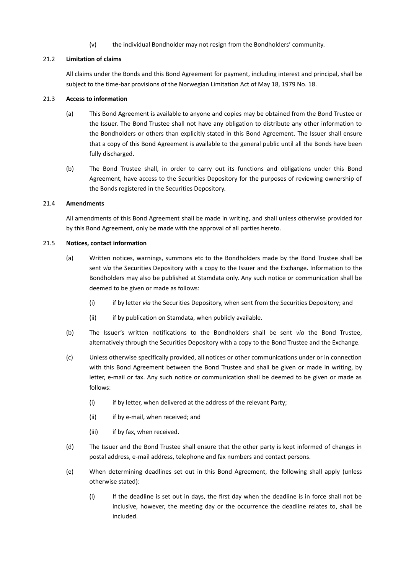(v) the individual Bondholder may not resign from the Bondholders' community.

# 21.2 **Limitation of claims**

All claims under the Bonds and this Bond Agreement for payment, including interest and principal, shall be subject to the time-bar provisions of the Norwegian Limitation Act of May 18, 1979 No. 18.

# 21.3 **Access to information**

- (a) This Bond Agreement is available to anyone and copies may be obtained from the Bond Trustee or the Issuer. The Bond Trustee shall not have any obligation to distribute any other information to the Bondholders or others than explicitly stated in this Bond Agreement. The Issuer shall ensure that a copy of this Bond Agreement is available to the general public until all the Bonds have been fully discharged.
- (b) The Bond Trustee shall, in order to carry out its functions and obligations under this Bond Agreement, have access to the Securities Depository for the purposes of reviewing ownership of the Bonds registered in the Securities Depository.

# 21.4 **Amendments**

All amendments of this Bond Agreement shall be made in writing, and shall unless otherwise provided for by this Bond Agreement, only be made with the approval of all parties hereto.

# 21.5 **Notices, contact information**

- (a) Written notices, warnings, summons etc to the Bondholders made by the Bond Trustee shall be sent *via* the Securities Depository with a copy to the Issuer and the Exchange. Information to the Bondholders may also be published at Stamdata only. Any such notice or communication shall be deemed to be given or made as follows:
	- (i) if by letter *via* the Securities Depository, when sent from the Securities Depository; and
	- (ii) if by publication on Stamdata, when publicly available.
- (b) The Issuer's written notifications to the Bondholders shall be sent *via* the Bond Trustee, alternatively through the Securities Depository with a copy to the Bond Trustee and the Exchange.
- (c) Unless otherwise specifically provided, all notices or other communications under or in connection with this Bond Agreement between the Bond Trustee and shall be given or made in writing, by letter, e-mail or fax. Any such notice or communication shall be deemed to be given or made as follows:
	- (i) if by letter, when delivered at the address of the relevant Party;
	- (ii) if by e-mail, when received; and
	- (iii) if by fax, when received.
- (d) The Issuer and the Bond Trustee shall ensure that the other party is kept informed of changes in postal address, e-mail address, telephone and fax numbers and contact persons.
- (e) When determining deadlines set out in this Bond Agreement, the following shall apply (unless otherwise stated):
	- (i) If the deadline is set out in days, the first day when the deadline is in force shall not be inclusive, however, the meeting day or the occurrence the deadline relates to, shall be included.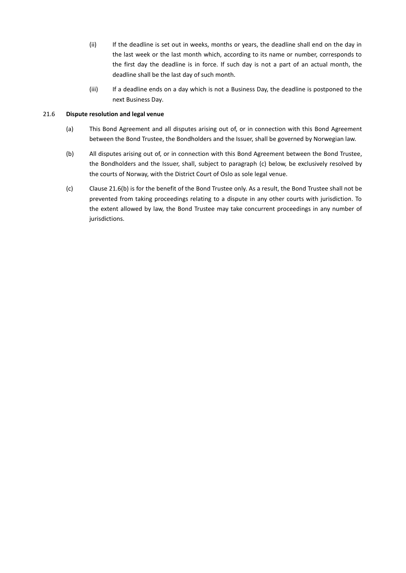- (ii) If the deadline is set out in weeks, months or years, the deadline shall end on the day in the last week or the last month which, according to its name or number, corresponds to the first day the deadline is in force. If such day is not a part of an actual month, the deadline shall be the last day of such month.
- (iii) If a deadline ends on a day which is not a Business Day, the deadline is postponed to the next Business Day.

# 21.6 **Dispute resolution and legal venue**

- (a) This Bond Agreement and all disputes arising out of, or in connection with this Bond Agreement between the Bond Trustee, the Bondholders and the Issuer, shall be governed by Norwegian law.
- <span id="page-40-0"></span>(b) All disputes arising out of, or in connection with this Bond Agreement between the Bond Trustee, the Bondholders and the Issuer, shall, subject to paragraph (c) below, be exclusively resolved by the courts of Norway, with the District Court of Oslo as sole legal venue.
- (c) Clause [21.6\(b\)](#page-40-0) is for the benefit of the Bond Trustee only. As a result, the Bond Trustee shall not be prevented from taking proceedings relating to a dispute in any other courts with jurisdiction. To the extent allowed by law, the Bond Trustee may take concurrent proceedings in any number of jurisdictions.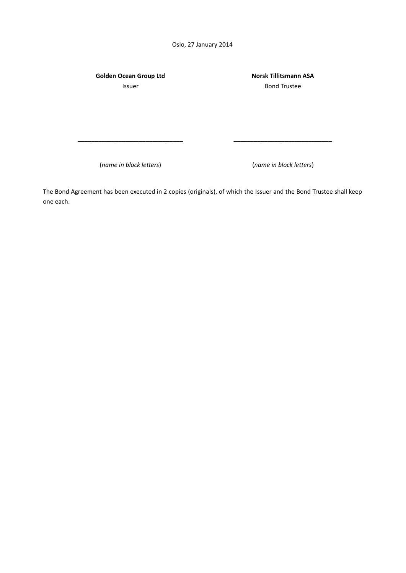Oslo, 27 January 2014

**Golden Ocean Group Ltd** Issuer

**Norsk Tillitsmann ASA** Bond Trustee

(*name in block letters*) (*name in block letters*)

The Bond Agreement has been executed in 2 copies (originals), of which the Issuer and the Bond Trustee shall keep one each.

\_\_\_\_\_\_\_\_\_\_\_\_\_\_\_\_\_\_\_\_\_\_\_\_\_\_\_\_\_\_\_ \_\_\_\_\_\_\_\_\_\_\_\_\_\_\_\_\_\_\_\_\_\_\_\_\_\_\_\_\_